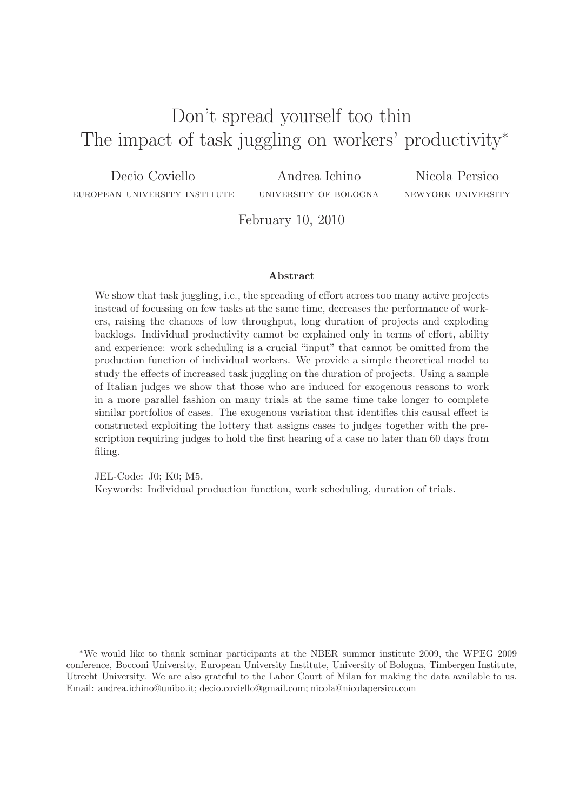# Don't spread yourself too thin The impact of task juggling on workers' productivity<sup>\*</sup>

Decio Coviello european university institute Andrea Ichino university of bologna

Nicola Persico newyork university

February 10, 2010

#### **Abstract**

We show that task juggling, i.e., the spreading of effort across too many active projects instead of focussing on few tasks at the same time, decreases the performance of workers, raising the chances of low throughput, long duration of projects and exploding backlogs. Individual productivity cannot be explained only in terms of effort, ability and experience: work scheduling is a crucial "input" that cannot be omitted from the production function of individual workers. We provide a simple theoretical model to study the effects of increased task juggling on the duration of projects. Using a sample of Italian judges we show that those who are induced for exogenous reasons to work in a more parallel fashion on many trials at the same time take longer to complete similar portfolios of cases. The exogenous variation that identifies this causal effect is constructed exploiting the lottery that assigns cases to judges together with the prescription requiring judges to hold the first hearing of a case no later than 60 days from filing.

JEL-Code: J0; K0; M5.

Keywords: Individual production function, work scheduling, duration of trials.

<sup>∗</sup>We would like to thank seminar participants at the NBER summer institute 2009, the WPEG 2009 conference, Bocconi University, European University Institute, University of Bologna, Timbergen Institute, Utrecht University. We are also grateful to the Labor Court of Milan for making the data available to us. Email: andrea.ichino@unibo.it; decio.coviello@gmail.com; nicola@nicolapersico.com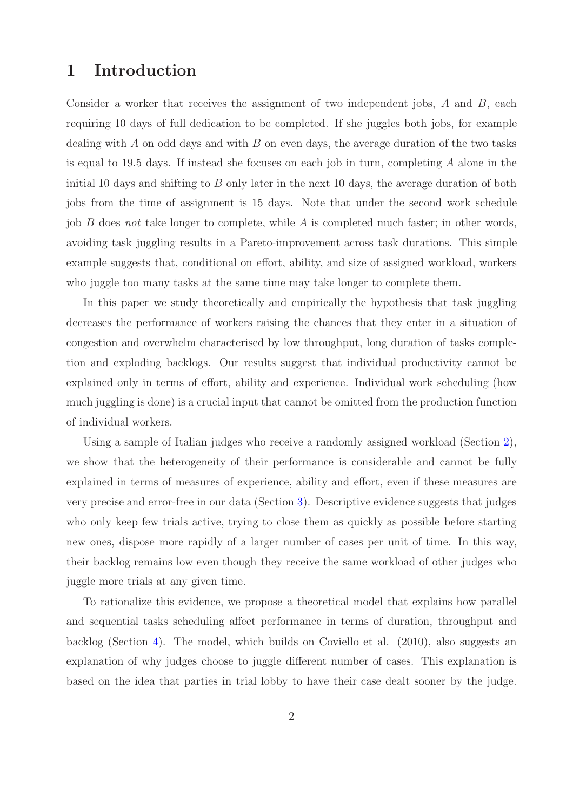# **1 Introduction**

Consider a worker that receives the assignment of two independent jobs, *A* and *B*, each requiring 10 days of full dedication to be completed. If she juggles both jobs, for example dealing with *A* on odd days and with *B* on even days, the average duration of the two tasks is equal to 19.5 days. If instead she focuses on each job in turn, completing *A* alone in the initial 10 days and shifting to *B* only later in the next 10 days, the average duration of both jobs from the time of assignment is 15 days. Note that under the second work schedule job *B* does *not* take longer to complete, while *A* is completed much faster; in other words, avoiding task juggling results in a Pareto-improvement across task durations. This simple example suggests that, conditional on effort, ability, and size of assigned workload, workers who juggle too many tasks at the same time may take longer to complete them.

In this paper we study theoretically and empirically the hypothesis that task juggling decreases the performance of workers raising the chances that they enter in a situation of congestion and overwhelm characterised by low throughput, long duration of tasks completion and exploding backlogs. Our results suggest that individual productivity cannot be explained only in terms of effort, ability and experience. Individual work scheduling (how much juggling is done) is a crucial input that cannot be omitted from the production function of individual workers.

Using a sample of Italian judges who receive a randomly assigned workload (Section [2\)](#page-2-0), we show that the heterogeneity of their performance is considerable and cannot be fully explained in terms of measures of experience, ability and effort, even if these measures are very precise and error-free in our data (Section [3\)](#page-4-0). Descriptive evidence suggests that judges who only keep few trials active, trying to close them as quickly as possible before starting new ones, dispose more rapidly of a larger number of cases per unit of time. In this way, their backlog remains low even though they receive the same workload of other judges who juggle more trials at any given time.

To rationalize this evidence, we propose a theoretical model that explains how parallel and sequential tasks scheduling affect performance in terms of duration, throughput and backlog (Section [4\)](#page-8-0). The model, which builds on Coviello et al. (2010), also suggests an explanation of why judges choose to juggle different number of cases. This explanation is based on the idea that parties in trial lobby to have their case dealt sooner by the judge.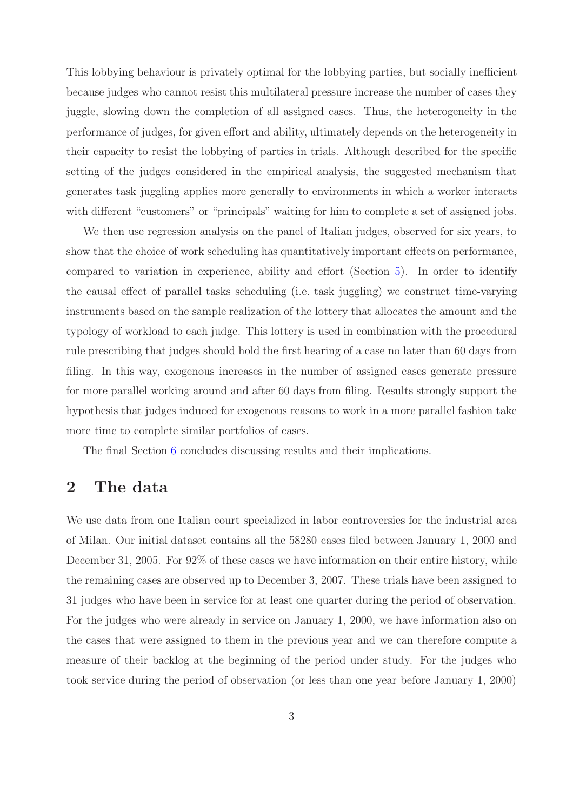This lobbying behaviour is privately optimal for the lobbying parties, but socially inefficient because judges who cannot resist this multilateral pressure increase the number of cases they juggle, slowing down the completion of all assigned cases. Thus, the heterogeneity in the performance of judges, for given effort and ability, ultimately depends on the heterogeneity in their capacity to resist the lobbying of parties in trials. Although described for the specific setting of the judges considered in the empirical analysis, the suggested mechanism that generates task juggling applies more generally to environments in which a worker interacts with different "customers" or "principals" waiting for him to complete a set of assigned jobs.

We then use regression analysis on the panel of Italian judges, observed for six years, to show that the choice of work scheduling has quantitatively important effects on performance, compared to variation in experience, ability and effort (Section [5\)](#page-19-0). In order to identify the causal effect of parallel tasks scheduling (i.e. task juggling) we construct time-varying instruments based on the sample realization of the lottery that allocates the amount and the typology of workload to each judge. This lottery is used in combination with the procedural rule prescribing that judges should hold the first hearing of a case no later than 60 days from filing. In this way, exogenous increases in the number of assigned cases generate pressure for more parallel working around and after 60 days from filing. Results strongly support the hypothesis that judges induced for exogenous reasons to work in a more parallel fashion take more time to complete similar portfolios of cases.

The final Section [6](#page-25-0) concludes discussing results and their implications.

## <span id="page-2-0"></span>**2 The data**

We use data from one Italian court specialized in labor controversies for the industrial area of Milan. Our initial dataset contains all the 58280 cases filed between January 1, 2000 and December 31, 2005. For  $92\%$  of these cases we have information on their entire history, while the remaining cases are observed up to December 3, 2007. These trials have been assigned to 31 judges who have been in service for at least one quarter during the period of observation. For the judges who were already in service on January 1, 2000, we have information also on the cases that were assigned to them in the previous year and we can therefore compute a measure of their backlog at the beginning of the period under study. For the judges who took service during the period of observation (or less than one year before January 1, 2000)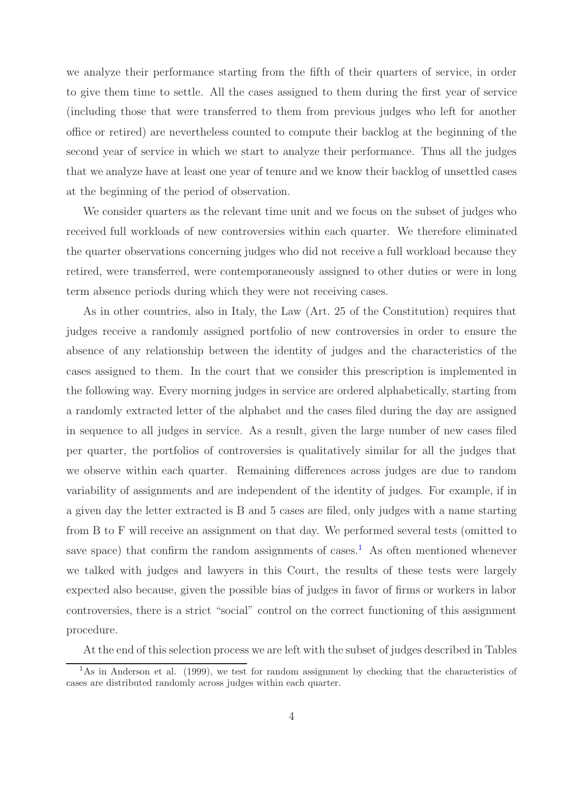we analyze their performance starting from the fifth of their quarters of service, in order to give them time to settle. All the cases assigned to them during the first year of service (including those that were transferred to them from previous judges who left for another office or retired) are nevertheless counted to compute their backlog at the beginning of the second year of service in which we start to analyze their performance. Thus all the judges that we analyze have at least one year of tenure and we know their backlog of unsettled cases at the beginning of the period of observation.

We consider quarters as the relevant time unit and we focus on the subset of judges who received full workloads of new controversies within each quarter. We therefore eliminated the quarter observations concerning judges who did not receive a full workload because they retired, were transferred, were contemporaneously assigned to other duties or were in long term absence periods during which they were not receiving cases.

As in other countries, also in Italy, the Law (Art. 25 of the Constitution) requires that judges receive a randomly assigned portfolio of new controversies in order to ensure the absence of any relationship between the identity of judges and the characteristics of the cases assigned to them. In the court that we consider this prescription is implemented in the following way. Every morning judges in service are ordered alphabetically, starting from a randomly extracted letter of the alphabet and the cases filed during the day are assigned in sequence to all judges in service. As a result, given the large number of new cases filed per quarter, the portfolios of controversies is qualitatively similar for all the judges that we observe within each quarter. Remaining differences across judges are due to random variability of assignments and are independent of the identity of judges. For example, if in a given day the letter extracted is B and 5 cases are filed, only judges with a name starting from B to F will receive an assignment on that day. We performed several tests (omitted to save space) that confirm the random assignments of cases.<sup>[1](#page-3-0)</sup> As often mentioned whenever we talked with judges and lawyers in this Court, the results of these tests were largely expected also because, given the possible bias of judges in favor of firms or workers in labor controversies, there is a strict "social" control on the correct functioning of this assignment procedure.

At the end of this selection process we are left with the subset of judges described in Tables

<span id="page-3-0"></span><sup>&</sup>lt;sup>1</sup>As in Anderson et al. (1999), we test for random assignment by checking that the characteristics of cases are distributed randomly across judges within each quarter.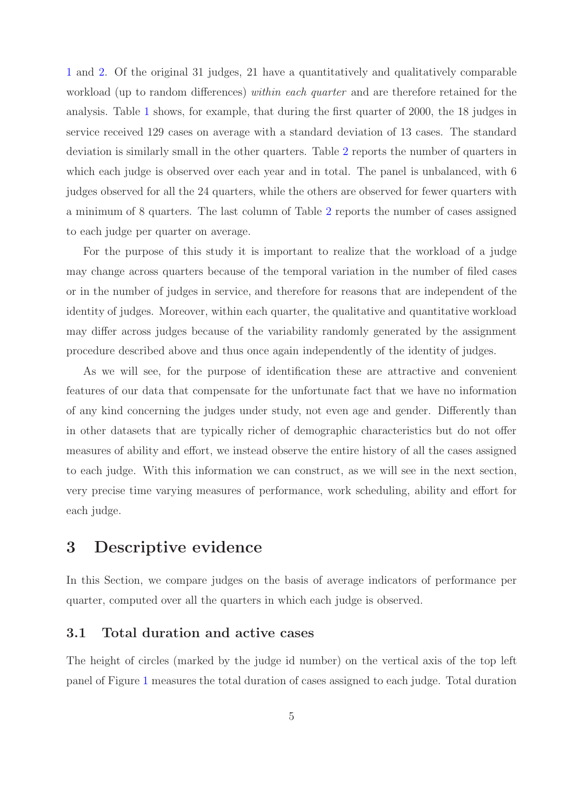[1](#page-31-0) and [2.](#page-32-0) Of the original 31 judges, 21 have a quantitatively and qualitatively comparable workload (up to random differences) *within each quarter* and are therefore retained for the analysis. Table [1](#page-31-0) shows, for example, that during the first quarter of 2000, the 18 judges in service received 129 cases on average with a standard deviation of 13 cases. The standard deviation is similarly small in the other quarters. Table [2](#page-32-0) reports the number of quarters in which each judge is observed over each year and in total. The panel is unbalanced, with 6 judges observed for all the 24 quarters, while the others are observed for fewer quarters with a minimum of 8 quarters. The last column of Table [2](#page-32-0) reports the number of cases assigned to each judge per quarter on average.

For the purpose of this study it is important to realize that the workload of a judge may change across quarters because of the temporal variation in the number of filed cases or in the number of judges in service, and therefore for reasons that are independent of the identity of judges. Moreover, within each quarter, the qualitative and quantitative workload may differ across judges because of the variability randomly generated by the assignment procedure described above and thus once again independently of the identity of judges.

As we will see, for the purpose of identification these are attractive and convenient features of our data that compensate for the unfortunate fact that we have no information of any kind concerning the judges under study, not even age and gender. Differently than in other datasets that are typically richer of demographic characteristics but do not offer measures of ability and effort, we instead observe the entire history of all the cases assigned to each judge. With this information we can construct, as we will see in the next section, very precise time varying measures of performance, work scheduling, ability and effort for each judge.

# <span id="page-4-0"></span>**3 Descriptive evidence**

In this Section, we compare judges on the basis of average indicators of performance per quarter, computed over all the quarters in which each judge is observed.

## **3.1 Total duration and active cases**

The height of circles (marked by the judge id number) on the vertical axis of the top left panel of Figure [1](#page-33-0) measures the total duration of cases assigned to each judge. Total duration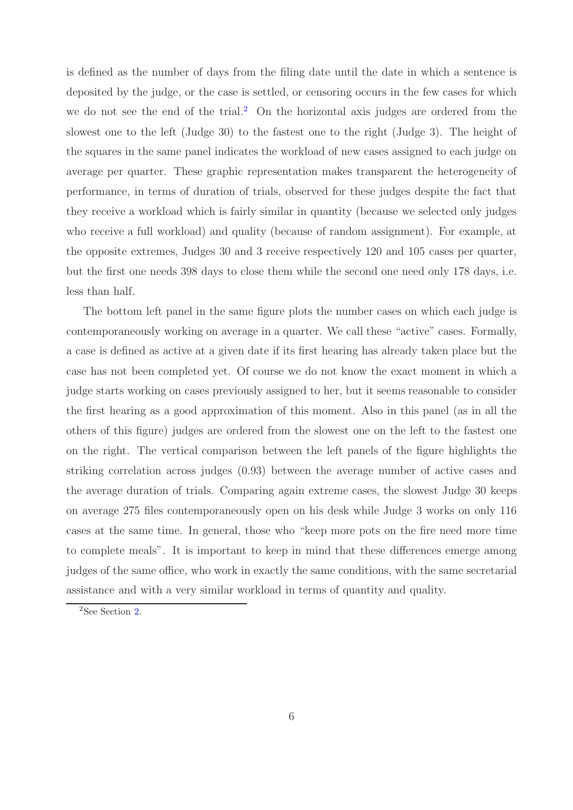is defined as the number of days from the filing date until the date in which a sentence is deposited by the judge, or the case is settled, or censoring occurs in the few cases for which we do not see the end of the trial.<sup>[2](#page-5-0)</sup> On the horizontal axis judges are ordered from the slowest one to the left (Judge 30) to the fastest one to the right (Judge 3). The height of the squares in the same panel indicates the workload of new cases assigned to each judge on average per quarter. These graphic representation makes transparent the heterogeneity of performance, in terms of duration of trials, observed for these judges despite the fact that they receive a workload which is fairly similar in quantity (because we selected only judges who receive a full workload) and quality (because of random assignment). For example, at the opposite extremes, Judges 30 and 3 receive respectively 120 and 105 cases per quarter, but the first one needs 398 days to close them while the second one need only 178 days, i.e. less than half.

The bottom left panel in the same figure plots the number cases on which each judge is contemporaneously working on average in a quarter. We call these "active" cases. Formally, a case is defined as active at a given date if its first hearing has already taken place but the case has not been completed yet. Of course we do not know the exact moment in which a judge starts working on cases previously assigned to her, but it seems reasonable to consider the first hearing as a good approximation of this moment. Also in this panel (as in all the others of this figure) judges are ordered from the slowest one on the left to the fastest one on the right. The vertical comparison between the left panels of the figure highlights the striking correlation across judges (0.93) between the average number of active cases and the average duration of trials. Comparing again extreme cases, the slowest Judge 30 keeps on average 275 files contemporaneously open on his desk while Judge 3 works on only 116 cases at the same time. In general, those who "keep more pots on the fire need more time to complete meals". It is important to keep in mind that these differences emerge among judges of the same office, who work in exactly the same conditions, with the same secretarial assistance and with a very similar workload in terms of quantity and quality.

<span id="page-5-0"></span><sup>&</sup>lt;sup>2</sup>See Section [2.](#page-2-0)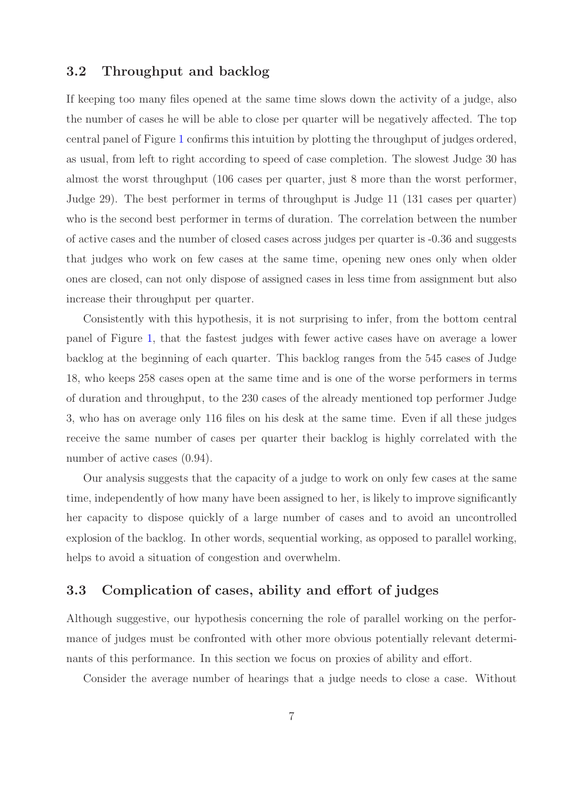## **3.2 Throughput and backlog**

If keeping too many files opened at the same time slows down the activity of a judge, also the number of cases he will be able to close per quarter will be negatively affected. The top central panel of Figure [1](#page-33-0) confirms this intuition by plotting the throughput of judges ordered, as usual, from left to right according to speed of case completion. The slowest Judge 30 has almost the worst throughput (106 cases per quarter, just 8 more than the worst performer, Judge 29). The best performer in terms of throughput is Judge 11 (131 cases per quarter) who is the second best performer in terms of duration. The correlation between the number of active cases and the number of closed cases across judges per quarter is -0.36 and suggests that judges who work on few cases at the same time, opening new ones only when older ones are closed, can not only dispose of assigned cases in less time from assignment but also increase their throughput per quarter.

Consistently with this hypothesis, it is not surprising to infer, from the bottom central panel of Figure [1,](#page-33-0) that the fastest judges with fewer active cases have on average a lower backlog at the beginning of each quarter. This backlog ranges from the 545 cases of Judge 18, who keeps 258 cases open at the same time and is one of the worse performers in terms of duration and throughput, to the 230 cases of the already mentioned top performer Judge 3, who has on average only 116 files on his desk at the same time. Even if all these judges receive the same number of cases per quarter their backlog is highly correlated with the number of active cases  $(0.94)$ .

Our analysis suggests that the capacity of a judge to work on only few cases at the same time, independently of how many have been assigned to her, is likely to improve significantly her capacity to dispose quickly of a large number of cases and to avoid an uncontrolled explosion of the backlog. In other words, sequential working, as opposed to parallel working, helps to avoid a situation of congestion and overwhelm.

### <span id="page-6-0"></span>**3.3 Complication of cases, ability and effort of judges**

Although suggestive, our hypothesis concerning the role of parallel working on the performance of judges must be confronted with other more obvious potentially relevant determinants of this performance. In this section we focus on proxies of ability and effort.

Consider the average number of hearings that a judge needs to close a case. Without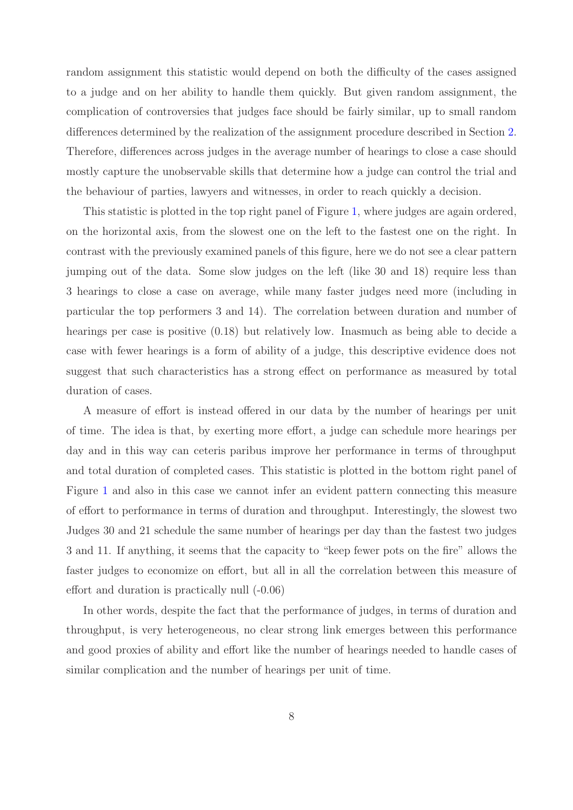random assignment this statistic would depend on both the difficulty of the cases assigned to a judge and on her ability to handle them quickly. But given random assignment, the complication of controversies that judges face should be fairly similar, up to small random differences determined by the realization of the assignment procedure described in Section [2.](#page-2-0) Therefore, differences across judges in the average number of hearings to close a case should mostly capture the unobservable skills that determine how a judge can control the trial and the behaviour of parties, lawyers and witnesses, in order to reach quickly a decision.

This statistic is plotted in the top right panel of Figure [1,](#page-33-0) where judges are again ordered, on the horizontal axis, from the slowest one on the left to the fastest one on the right. In contrast with the previously examined panels of this figure, here we do not see a clear pattern jumping out of the data. Some slow judges on the left (like 30 and 18) require less than 3 hearings to close a case on average, while many faster judges need more (including in particular the top performers 3 and 14). The correlation between duration and number of hearings per case is positive (0.18) but relatively low. Inasmuch as being able to decide a case with fewer hearings is a form of ability of a judge, this descriptive evidence does not suggest that such characteristics has a strong effect on performance as measured by total duration of cases.

A measure of effort is instead offered in our data by the number of hearings per unit of time. The idea is that, by exerting more effort, a judge can schedule more hearings per day and in this way can ceteris paribus improve her performance in terms of throughput and total duration of completed cases. This statistic is plotted in the bottom right panel of Figure [1](#page-33-0) and also in this case we cannot infer an evident pattern connecting this measure of effort to performance in terms of duration and throughput. Interestingly, the slowest two Judges 30 and 21 schedule the same number of hearings per day than the fastest two judges 3 and 11. If anything, it seems that the capacity to "keep fewer pots on the fire" allows the faster judges to economize on effort, but all in all the correlation between this measure of effort and duration is practically null (-0.06)

In other words, despite the fact that the performance of judges, in terms of duration and throughput, is very heterogeneous, no clear strong link emerges between this performance and good proxies of ability and effort like the number of hearings needed to handle cases of similar complication and the number of hearings per unit of time.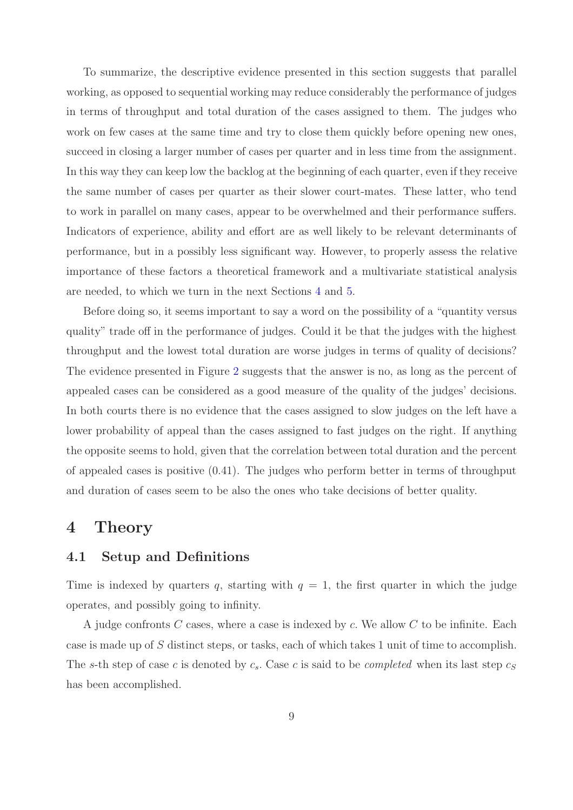To summarize, the descriptive evidence presented in this section suggests that parallel working, as opposed to sequential working may reduce considerably the performance of judges in terms of throughput and total duration of the cases assigned to them. The judges who work on few cases at the same time and try to close them quickly before opening new ones, succeed in closing a larger number of cases per quarter and in less time from the assignment. In this way they can keep low the backlog at the beginning of each quarter, even if they receive the same number of cases per quarter as their slower court-mates. These latter, who tend to work in parallel on many cases, appear to be overwhelmed and their performance suffers. Indicators of experience, ability and effort are as well likely to be relevant determinants of performance, but in a possibly less significant way. However, to properly assess the relative importance of these factors a theoretical framework and a multivariate statistical analysis are needed, to which we turn in the next Sections [4](#page-8-0) and [5.](#page-19-0)

Before doing so, it seems important to say a word on the possibility of a "quantity versus quality" trade off in the performance of judges. Could it be that the judges with the highest throughput and the lowest total duration are worse judges in terms of quality of decisions? The evidence presented in Figure [2](#page-34-0) suggests that the answer is no, as long as the percent of appealed cases can be considered as a good measure of the quality of the judges' decisions. In both courts there is no evidence that the cases assigned to slow judges on the left have a lower probability of appeal than the cases assigned to fast judges on the right. If anything the opposite seems to hold, given that the correlation between total duration and the percent of appealed cases is positive (0.41). The judges who perform better in terms of throughput and duration of cases seem to be also the ones who take decisions of better quality.

## <span id="page-8-0"></span>**4 Theory**

#### **4.1 Setup and Definitions**

Time is indexed by quarters q, starting with  $q = 1$ , the first quarter in which the judge operates, and possibly going to infinity.

A judge confronts *C* cases, where a case is indexed by *c.* We allow *C* to be infinite. Each case is made up of *S* distinct steps, or tasks, each of which takes 1 unit of time to accomplish. The *s*-th step of case *c* is denoted by  $c_s$ . Case *c* is said to be *completed* when its last step  $c_s$ has been accomplished.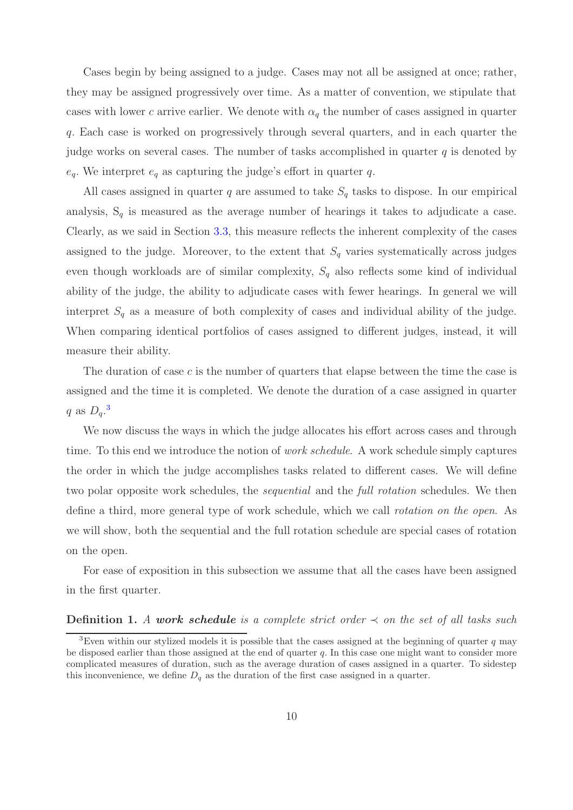Cases begin by being assigned to a judge. Cases may not all be assigned at once; rather, they may be assigned progressively over time. As a matter of convention, we stipulate that cases with lower *c* arrive earlier. We denote with  $\alpha_q$  the number of cases assigned in quarter *q.* Each case is worked on progressively through several quarters, and in each quarter the judge works on several cases. The number of tasks accomplished in quarter *q* is denoted by  $e_q$ . We interpret  $e_q$  as capturing the judge's effort in quarter *q*.

All cases assigned in quarter *q* are assumed to take  $S_q$  tasks to dispose. In our empirical analysis,  $S_q$  is measured as the average number of hearings it takes to adjudicate a case. Clearly, as we said in Section [3.3,](#page-6-0) this measure reflects the inherent complexity of the cases assigned to the judge. Moreover, to the extent that  $S_q$  varies systematically across judges even though workloads are of similar complexity, *S<sup>q</sup>* also reflects some kind of individual ability of the judge, the ability to adjudicate cases with fewer hearings. In general we will interpret  $S_q$  as a measure of both complexity of cases and individual ability of the judge. When comparing identical portfolios of cases assigned to different judges, instead, it will measure their ability.

The duration of case *c* is the number of quarters that elapse between the time the case is assigned and the time it is completed. We denote the duration of a case assigned in quarter *q* as *Dq.* [3](#page-9-0)

We now discuss the ways in which the judge allocates his effort across cases and through time. To this end we introduce the notion of *work schedule*. A work schedule simply captures the order in which the judge accomplishes tasks related to different cases. We will define two polar opposite work schedules, the *sequential* and the *full rotation* schedules. We then define a third, more general type of work schedule, which we call *rotation on the open*. As we will show, both the sequential and the full rotation schedule are special cases of rotation on the open.

<span id="page-9-1"></span>For ease of exposition in this subsection we assume that all the cases have been assigned in the first quarter.

#### **Definition 1.** *A work schedule is a complete strict order*  $\prec$  *on the set of all tasks such*

<span id="page-9-0"></span><sup>3</sup>Even within our stylized models it is possible that the cases assigned at the beginning of quarter *q* may be disposed earlier than those assigned at the end of quarter *q.* In this case one might want to consider more complicated measures of duration, such as the average duration of cases assigned in a quarter. To sidestep this inconvenience, we define  $D_q$  as the duration of the first case assigned in a quarter.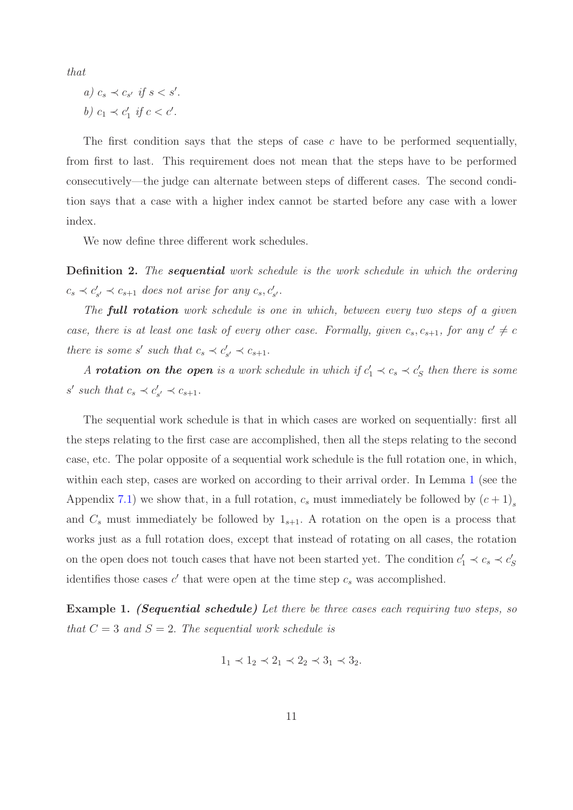*that*

$$
a) c_s \prec c_{s'} \text{ if } s < s'.
$$
\n
$$
b) c_1 \prec c'_1 \text{ if } c < c'.
$$

The first condition says that the steps of case *c* have to be performed sequentially, from first to last. This requirement does not mean that the steps have to be performed consecutively—the judge can alternate between steps of different cases. The second condition says that a case with a higher index cannot be started before any case with a lower index.

We now define three different work schedules.

<span id="page-10-0"></span>**Definition 2.** *The sequential work schedule is the work schedule in which the ordering*  $c_s \prec c'_{s'} \prec c_{s+1}$  *does not arise for any*  $c_s, c'_{s'}$ .

*The full rotation work schedule is one in which, between every two steps of a given case, there is at least one task of every other case. Formally, given*  $c_s$ ,  $c_{s+1}$ , for any  $c' \neq c$ *there is some s' such that*  $c_s \prec c'_{s'} \prec c_{s+1}$ *.* 

*A rotation on the open* is a work schedule in which if  $c'_1 \prec c_s \prec c'_s$  then there is some *s' such that*  $c_s \prec c'_{s'} \prec c_{s+1}$ .

The sequential work schedule is that in which cases are worked on sequentially: first all the steps relating to the first case are accomplished, then all the steps relating to the second case, etc. The polar opposite of a sequential work schedule is the full rotation one, in which, within each step, cases are worked on according to their arrival order. In Lemma [1](#page-27-1) (see the Appendix [7.1\)](#page-27-0) we show that, in a full rotation,  $c_s$  must immediately be followed by  $(c+1)$ <sub>s</sub> and  $C_s$  must immediately be followed by  $1_{s+1}$ . A rotation on the open is a process that works just as a full rotation does, except that instead of rotating on all cases, the rotation on the open does not touch cases that have not been started yet. The condition  $c'_1 \prec c_s \prec c'_S$ identifies those cases  $c'$  that were open at the time step  $c_s$  was accomplished.

**Example 1.** *(Sequential schedule) Let there be three cases each requiring two steps, so that*  $C = 3$  *and*  $S = 2$ *. The sequential work schedule is* 

$$
1_1 \prec 1_2 \prec 2_1 \prec 2_2 \prec 3_1 \prec 3_2.
$$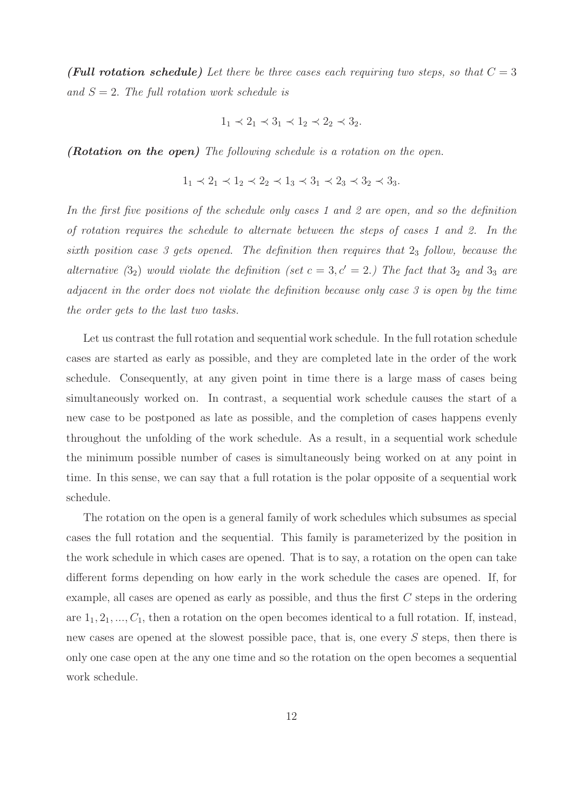*(Full rotation schedule)* Let there be three cases each requiring two steps, so that  $C = 3$ *and S* = 2*. The full rotation work schedule is*

$$
1_1 \prec 2_1 \prec 3_1 \prec 1_2 \prec 2_2 \prec 3_2.
$$

*(Rotation on the open) The following schedule is a rotation on the open.*

$$
1_1 \prec 2_1 \prec 1_2 \prec 2_2 \prec 1_3 \prec 3_1 \prec 2_3 \prec 3_2 \prec 3_3.
$$

*In the first five positions of the schedule only cases 1 and 2 are open, and so the definition of rotation requires the schedule to alternate between the steps of cases 1 and 2. In the sixth position case 3 gets opened. The definition then requires that* 2<sup>3</sup> *follow, because the alternative*  $(3_2)$  *would violate the definition (set*  $c = 3, c' = 2$ *.) The fact that*  $3_2$  *and*  $3_3$  *are adjacent in the order does not violate the definition because only case 3 is open by the time the order gets to the last two tasks.*

Let us contrast the full rotation and sequential work schedule. In the full rotation schedule cases are started as early as possible, and they are completed late in the order of the work schedule. Consequently, at any given point in time there is a large mass of cases being simultaneously worked on. In contrast, a sequential work schedule causes the start of a new case to be postponed as late as possible, and the completion of cases happens evenly throughout the unfolding of the work schedule. As a result, in a sequential work schedule the minimum possible number of cases is simultaneously being worked on at any point in time. In this sense, we can say that a full rotation is the polar opposite of a sequential work schedule.

The rotation on the open is a general family of work schedules which subsumes as special cases the full rotation and the sequential. This family is parameterized by the position in the work schedule in which cases are opened. That is to say, a rotation on the open can take different forms depending on how early in the work schedule the cases are opened. If, for example, all cases are opened as early as possible, and thus the first *C* steps in the ordering are  $1_1, 2_1, ..., C_1$ , then a rotation on the open becomes identical to a full rotation. If, instead, new cases are opened at the slowest possible pace, that is, one every *S* steps, then there is only one case open at the any one time and so the rotation on the open becomes a sequential work schedule.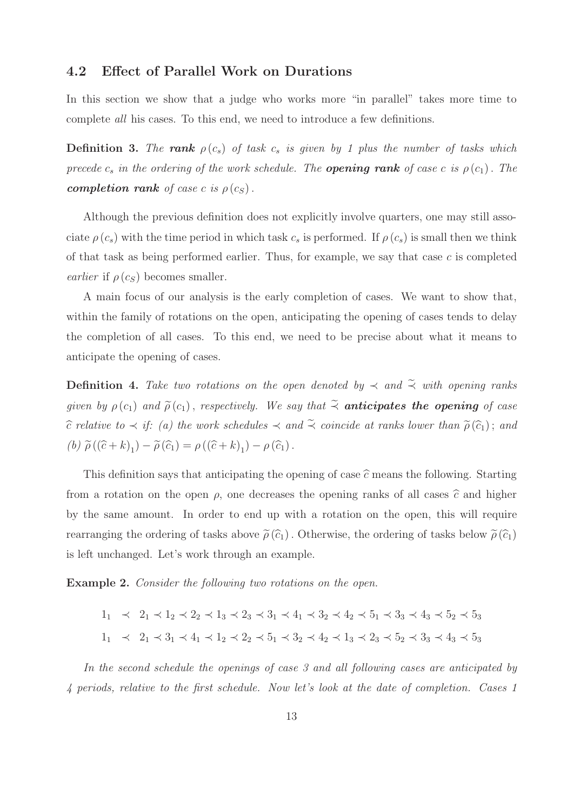#### **4.2 Effect of Parallel Work on Durations**

In this section we show that a judge who works more "in parallel" takes more time to complete *all* his cases. To this end, we need to introduce a few definitions.

**Definition 3.** The rank  $\rho(c_s)$  of task  $c_s$  is given by 1 plus the number of tasks which *precede*  $c_s$  *in the ordering of the work schedule. The <i>opening rank of case c is*  $\rho(c_1)$ *. The completion rank of case c is*  $\rho(c_S)$ .

Although the previous definition does not explicitly involve quarters, one may still associate  $\rho(c_s)$  with the time period in which task  $c_s$  is performed. If  $\rho(c_s)$  is small then we think of that task as being performed earlier. Thus, for example, we say that case *c* is completed *earlier* if  $\rho(c_S)$  becomes smaller.

A main focus of our analysis is the early completion of cases. We want to show that, within the family of rotations on the open, anticipating the opening of cases tends to delay the completion of all cases. To this end, we need to be precise about what it means to anticipate the opening of cases.

**Definition 4.** Take two rotations on the open denoted by  $\prec$  and  $\tilde{\prec}$  with opening ranks *given by*  $\rho(c_1)$  *and*  $\tilde{\rho}(c_1)$ *, respectively. We say that*  $\tilde{\prec}$  *anticipates the opening of case*  $\hat{c}$  *relative to*  $\prec$  *if:* (a) the work schedules  $\prec$  and  $\tilde{\prec}$  coincide at ranks lower than  $\tilde{\rho}(\hat{c}_1)$ ; and  $(\phi) \widetilde{\rho}((\widehat{c} + k)_{1}) - \widetilde{\rho}(\widehat{c}_{1}) = \rho((\widehat{c} + k)_{1}) - \rho(\widehat{c}_{1}).$ 

This definition says that anticipating the opening of case  $\hat{c}$  means the following. Starting from a rotation on the open  $\rho$ , one decreases the opening ranks of all cases  $\hat{c}$  and higher by the same amount. In order to end up with a rotation on the open, this will require rearranging the ordering of tasks above  $\tilde{\rho}(\hat{c}_1)$ . Otherwise, the ordering of tasks below  $\tilde{\rho}(\hat{c}_1)$ is left unchanged. Let's work through an example.

**Example 2.** *Consider the following two rotations on the open.*

$$
1_1 \prec 2_1 \prec 1_2 \prec 2_2 \prec 1_3 \prec 2_3 \prec 3_1 \prec 4_1 \prec 3_2 \prec 4_2 \prec 5_1 \prec 3_3 \prec 4_3 \prec 5_2 \prec 5_3
$$
  
\n
$$
1_1 \prec 2_1 \prec 3_1 \prec 4_1 \prec 1_2 \prec 2_2 \prec 5_1 \prec 3_2 \prec 4_2 \prec 1_3 \prec 2_3 \prec 5_2 \prec 3_3 \prec 4_3 \prec 5_3
$$

*In the second schedule the openings of case 3 and all following cases are anticipated by 4 periods, relative to the first schedule. Now let's look at the date of completion. Cases 1*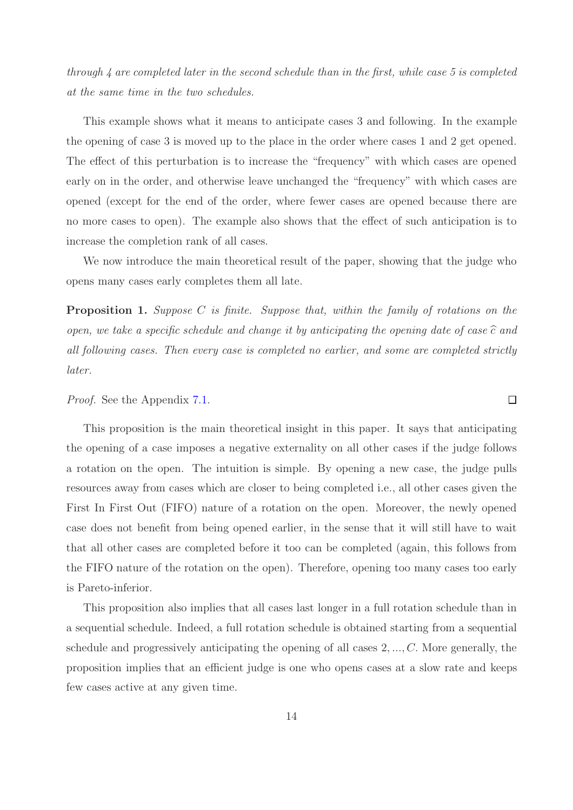*through 4 are completed later in the second schedule than in the first, while case 5 is completed at the same time in the two schedules.*

This example shows what it means to anticipate cases 3 and following. In the example the opening of case 3 is moved up to the place in the order where cases 1 and 2 get opened. The effect of this perturbation is to increase the "frequency" with which cases are opened early on in the order, and otherwise leave unchanged the "frequency" with which cases are opened (except for the end of the order, where fewer cases are opened because there are no more cases to open). The example also shows that the effect of such anticipation is to increase the completion rank of all cases.

<span id="page-13-0"></span>We now introduce the main theoretical result of the paper, showing that the judge who opens many cases early completes them all late.

**Proposition 1.** *Suppose C is finite. Suppose that, within the family of rotations on the open, we take a specific schedule and change it by anticipating the opening date of case*  $\hat{c}$  *and all following cases. Then every case is completed no earlier, and some are completed strictly later.*

#### *Proof.* See the Appendix [7.1.](#page-27-0)

This proposition is the main theoretical insight in this paper. It says that anticipating the opening of a case imposes a negative externality on all other cases if the judge follows a rotation on the open. The intuition is simple. By opening a new case, the judge pulls resources away from cases which are closer to being completed i.e., all other cases given the First In First Out (FIFO) nature of a rotation on the open. Moreover, the newly opened case does not benefit from being opened earlier, in the sense that it will still have to wait that all other cases are completed before it too can be completed (again, this follows from the FIFO nature of the rotation on the open). Therefore, opening too many cases too early is Pareto-inferior.

This proposition also implies that all cases last longer in a full rotation schedule than in a sequential schedule. Indeed, a full rotation schedule is obtained starting from a sequential schedule and progressively anticipating the opening of all cases 2*, ..., C.* More generally, the proposition implies that an efficient judge is one who opens cases at a slow rate and keeps few cases active at any given time.

 $\Box$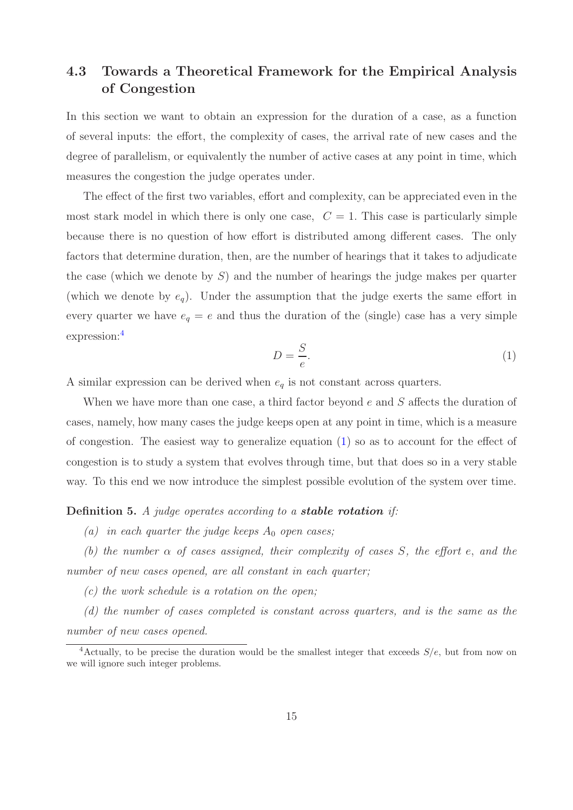## <span id="page-14-2"></span>**4.3 Towards a Theoretical Framework for the Empirical Analysis of Congestion**

In this section we want to obtain an expression for the duration of a case, as a function of several inputs: the effort, the complexity of cases, the arrival rate of new cases and the degree of parallelism, or equivalently the number of active cases at any point in time, which measures the congestion the judge operates under.

The effect of the first two variables, effort and complexity, can be appreciated even in the most stark model in which there is only one case,  $C = 1$ . This case is particularly simple because there is no question of how effort is distributed among different cases. The only factors that determine duration, then, are the number of hearings that it takes to adjudicate the case (which we denote by *S*) and the number of hearings the judge makes per quarter (which we denote by *eq*). Under the assumption that the judge exerts the same effort in every quarter we have  $e_q = e$  and thus the duration of the (single) case has a very simple expression:[4](#page-14-1)

<span id="page-14-0"></span>
$$
D = \frac{S}{e}.\tag{1}
$$

A similar expression can be derived when *e<sup>q</sup>* is not constant across quarters.

When we have more than one case, a third factor beyond *e* and *S* affects the duration of cases, namely, how many cases the judge keeps open at any point in time, which is a measure of congestion. The easiest way to generalize equation [\(1\)](#page-14-0) so as to account for the effect of congestion is to study a system that evolves through time, but that does so in a very stable way. To this end we now introduce the simplest possible evolution of the system over time.

#### **Definition 5.** *A judge operates according to a stable rotation if:*

*(a)* in each quarter the judge keeps  $A_0$  open cases;

*(b) the number α of cases assigned, their complexity of cases S, the effort e, and the number of new cases opened, are all constant in each quarter;*

*(c) the work schedule is a rotation on the open;*

*(d) the number of cases completed is constant across quarters, and is the same as the number of new cases opened.*

<span id="page-14-1"></span><sup>4</sup>Actually, to be precise the duration would be the smallest integer that exceeds *S/e,* but from now on we will ignore such integer problems.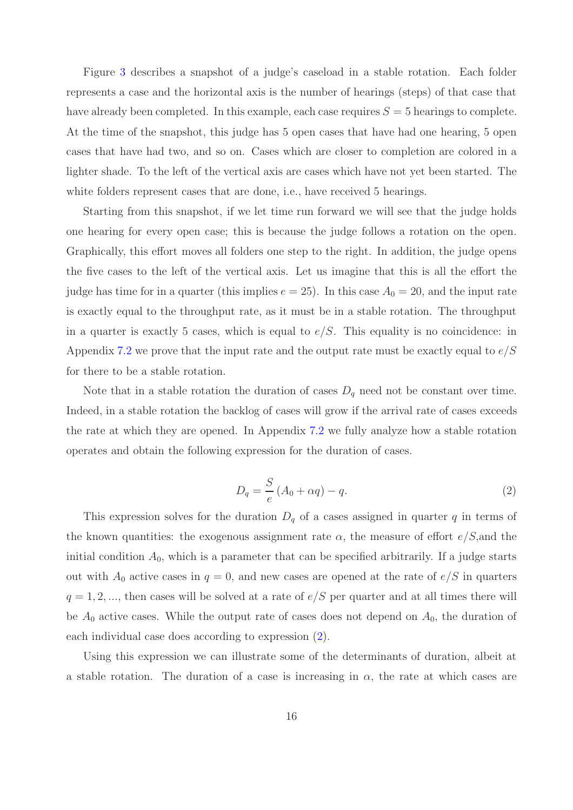Figure [3](#page-35-0) describes a snapshot of a judge's caseload in a stable rotation. Each folder represents a case and the horizontal axis is the number of hearings (steps) of that case that have already been completed. In this example, each case requires  $S = 5$  hearings to complete. At the time of the snapshot, this judge has 5 open cases that have had one hearing, 5 open cases that have had two, and so on. Cases which are closer to completion are colored in a lighter shade. To the left of the vertical axis are cases which have not yet been started. The white folders represent cases that are done, i.e., have received 5 hearings.

Starting from this snapshot, if we let time run forward we will see that the judge holds one hearing for every open case; this is because the judge follows a rotation on the open. Graphically, this effort moves all folders one step to the right. In addition, the judge opens the five cases to the left of the vertical axis. Let us imagine that this is all the effort the judge has time for in a quarter (this implies  $e = 25$ ). In this case  $A_0 = 20$ , and the input rate is exactly equal to the throughput rate, as it must be in a stable rotation. The throughput in a quarter is exactly 5 cases, which is equal to  $e/S$ . This equality is no coincidence: in Appendix [7.2](#page-28-0) we prove that the input rate and the output rate must be exactly equal to *e/S* for there to be a stable rotation.

Note that in a stable rotation the duration of cases  $D_q$  need not be constant over time. Indeed, in a stable rotation the backlog of cases will grow if the arrival rate of cases exceeds the rate at which they are opened. In Appendix [7.2](#page-28-0) we fully analyze how a stable rotation operates and obtain the following expression for the duration of cases.

<span id="page-15-0"></span>
$$
D_q = \frac{S}{e} \left( A_0 + \alpha q \right) - q. \tag{2}
$$

This expression solves for the duration  $D_q$  of a cases assigned in quarter  $q$  in terms of the known quantities: the exogenous assignment rate *α*, the measure of effort *e/S,*and the initial condition  $A_0$ , which is a parameter that can be specified arbitrarily. If a judge starts out with  $A_0$  active cases in  $q = 0$ , and new cases are opened at the rate of  $e/S$  in quarters  $q = 1, 2, \ldots$ , then cases will be solved at a rate of  $e/S$  per quarter and at all times there will be  $A_0$  active cases. While the output rate of cases does not depend on  $A_0$ , the duration of each individual case does according to expression [\(2\)](#page-15-0).

Using this expression we can illustrate some of the determinants of duration, albeit at a stable rotation. The duration of a case is increasing in  $\alpha$ , the rate at which cases are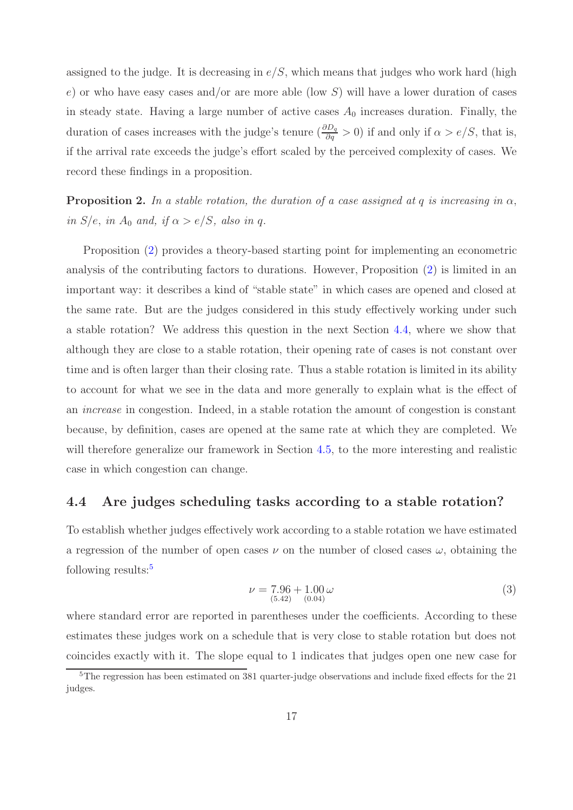assigned to the judge. It is decreasing in  $e/S$ , which means that judges who work hard (high *e*) or who have easy cases and/or are more able (low *S*) will have a lower duration of cases in steady state. Having a large number of active cases  $A_0$  increases duration. Finally, the duration of cases increases with the judge's tenure  $(\frac{\partial D_q}{\partial q} > 0)$  if and only if  $\alpha > e/S$ , that is, if the arrival rate exceeds the judge's effort scaled by the perceived complexity of cases. We record these findings in a proposition.

<span id="page-16-2"></span>**Proposition 2.** In a stable rotation, the duration of a case assigned at q is increasing in  $\alpha$ , *in*  $S/e$ *, in*  $A_0$  *and, if*  $\alpha > e/S$ *, also in q.* 

Proposition [\(2\)](#page-16-2) provides a theory-based starting point for implementing an econometric analysis of the contributing factors to durations. However, Proposition [\(2\)](#page-16-2) is limited in an important way: it describes a kind of "stable state" in which cases are opened and closed at the same rate. But are the judges considered in this study effectively working under such a stable rotation? We address this question in the next Section [4.4,](#page-16-1) where we show that although they are close to a stable rotation, their opening rate of cases is not constant over time and is often larger than their closing rate. Thus a stable rotation is limited in its ability to account for what we see in the data and more generally to explain what is the effect of an *increase* in congestion. Indeed, in a stable rotation the amount of congestion is constant because, by definition, cases are opened at the same rate at which they are completed. We will therefore generalize our framework in Section [4.5,](#page-17-0) to the more interesting and realistic case in which congestion can change.

### <span id="page-16-1"></span>**4.4 Are judges scheduling tasks according to a stable rotation?**

To establish whether judges effectively work according to a stable rotation we have estimated a regression of the number of open cases  $\nu$  on the number of closed cases  $\omega$ , obtaining the following results:[5](#page-16-0)

$$
\nu = 7.96 + 1.00 \,\omega
$$
\n
$$
\nu = 7.96 + 1.00 \,\omega \tag{3}
$$

where standard error are reported in parentheses under the coefficients. According to these estimates these judges work on a schedule that is very close to stable rotation but does not coincides exactly with it. The slope equal to 1 indicates that judges open one new case for

<span id="page-16-0"></span> $5$ The regression has been estimated on 381 quarter-judge observations and include fixed effects for the 21 judges.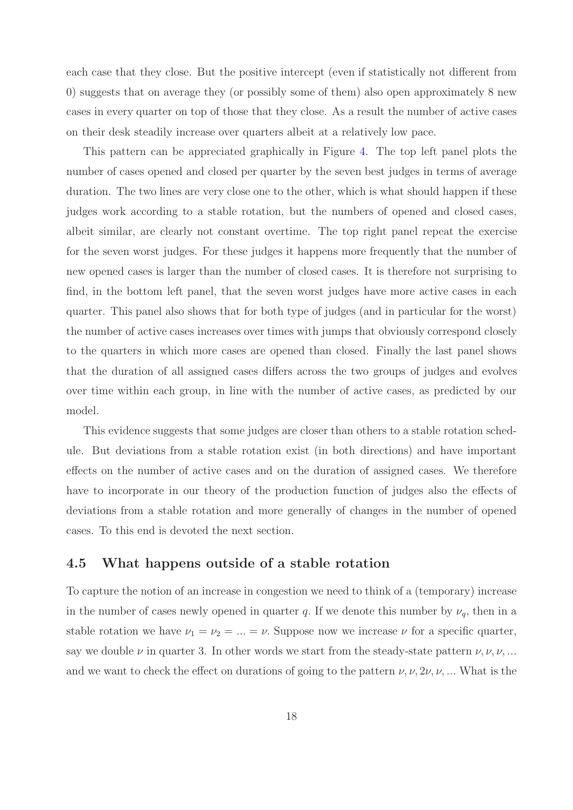each case that they close. But the positive intercept (even if statistically not different from 0) suggests that on average they (or possibly some of them) also open approximately 8 new cases in every quarter on top of those that they close. As a result the number of active cases on their desk steadily increase over quarters albeit at a relatively low pace.

This pattern can be appreciated graphically in Figure [4.](#page-36-0) The top left panel plots the number of cases opened and closed per quarter by the seven best judges in terms of average duration. The two lines are very close one to the other, which is what should happen if these judges work according to a stable rotation, but the numbers of opened and closed cases, albeit similar, are clearly not constant overtime. The top right panel repeat the exercise for the seven worst judges. For these judges it happens more frequently that the number of new opened cases is larger than the number of closed cases. It is therefore not surprising to find, in the bottom left panel, that the seven worst judges have more active cases in each quarter. This panel also shows that for both type of judges (and in particular for the worst) the number of active cases increases over times with jumps that obviously correspond closely to the quarters in which more cases are opened than closed. Finally the last panel shows that the duration of all assigned cases differs across the two groups of judges and evolves over time within each group, in line with the number of active cases, as predicted by our model.

This evidence suggests that some judges are closer than others to a stable rotation schedule. But deviations from a stable rotation exist (in both directions) and have important effects on the number of active cases and on the duration of assigned cases. We therefore have to incorporate in our theory of the production function of judges also the effects of deviations from a stable rotation and more generally of changes in the number of opened cases. To this end is devoted the next section.

### <span id="page-17-0"></span>**4.5 What happens outside of a stable rotation**

To capture the notion of an increase in congestion we need to think of a (temporary) increase in the number of cases newly opened in quarter *q*. If we denote this number by  $\nu_q$ , then in a stable rotation we have  $\nu_1 = \nu_2 = ... = \nu$ . Suppose now we increase  $\nu$  for a specific quarter, say we double  $\nu$  in quarter 3. In other words we start from the steady-state pattern  $\nu, \nu, \nu, ...$ and we want to check the effect on durations of going to the pattern  $\nu, \nu, 2\nu, \nu, ...$  What is the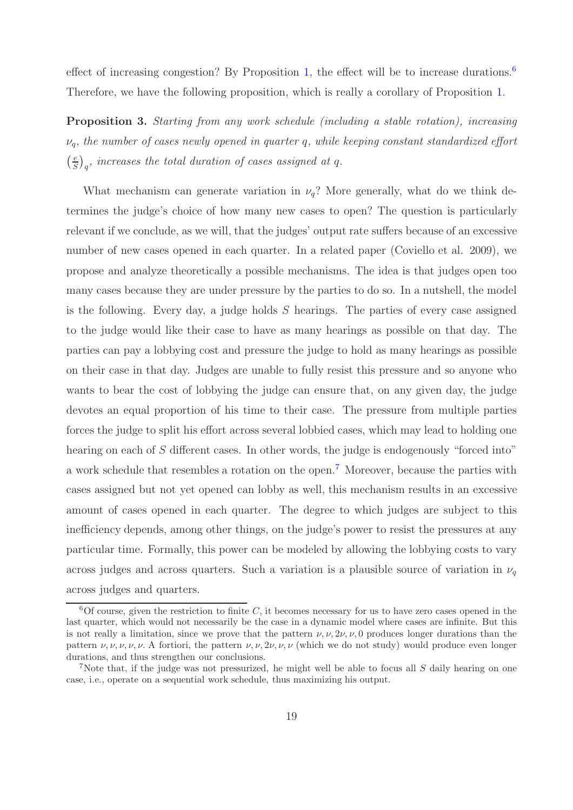<span id="page-18-2"></span>effect of increasing congestion? By Proposition [1,](#page-13-0) the effect will be to increase durations.<sup>[6](#page-18-1)</sup> Therefore, we have the following proposition, which is really a corollary of Proposition [1.](#page-13-0)

**Proposition 3.** *Starting from any work schedule (including a stable rotation), increasing νq, the number of cases newly opened in quarter q, while keeping constant standardized effort e S*  $\overline{1}$ *q , increases the total duration of cases assigned at q.*

What mechanism can generate variation in  $\nu_q$ ? More generally, what do we think determines the judge's choice of how many new cases to open? The question is particularly relevant if we conclude, as we will, that the judges' output rate suffers because of an excessive number of new cases opened in each quarter. In a related paper (Coviello et al. 2009), we propose and analyze theoretically a possible mechanisms. The idea is that judges open too many cases because they are under pressure by the parties to do so. In a nutshell, the model is the following. Every day, a judge holds *S* hearings. The parties of every case assigned to the judge would like their case to have as many hearings as possible on that day. The parties can pay a lobbying cost and pressure the judge to hold as many hearings as possible on their case in that day. Judges are unable to fully resist this pressure and so anyone who wants to bear the cost of lobbying the judge can ensure that, on any given day, the judge devotes an equal proportion of his time to their case. The pressure from multiple parties forces the judge to split his effort across several lobbied cases, which may lead to holding one hearing on each of *S* different cases. In other words, the judge is endogenously "forced into" a work schedule that resembles a rotation on the open.[7](#page-18-0) Moreover, because the parties with cases assigned but not yet opened can lobby as well, this mechanism results in an excessive amount of cases opened in each quarter. The degree to which judges are subject to this inefficiency depends, among other things, on the judge's power to resist the pressures at any particular time. Formally, this power can be modeled by allowing the lobbying costs to vary across judges and across quarters. Such a variation is a plausible source of variation in  $\nu_q$ across judges and quarters.

<span id="page-18-1"></span> $6$ Of course, given the restriction to finite  $C$ , it becomes necessary for us to have zero cases opened in the last quarter, which would not necessarily be the case in a dynamic model where cases are infinite. But this is not really a limitation, since we prove that the pattern  $\nu, \nu, 2\nu, \nu, 0$  produces longer durations than the pattern  $\nu, \nu, \nu, \nu, \nu$ . A fortiori, the pattern  $\nu, \nu, 2\nu, \nu, \nu$  (which we do not study) would produce even longer durations, and thus strengthen our conclusions.

<span id="page-18-0"></span><sup>7</sup>Note that, if the judge was not pressurized, he might well be able to focus all *S* daily hearing on one case, i.e., operate on a sequential work schedule, thus maximizing his output.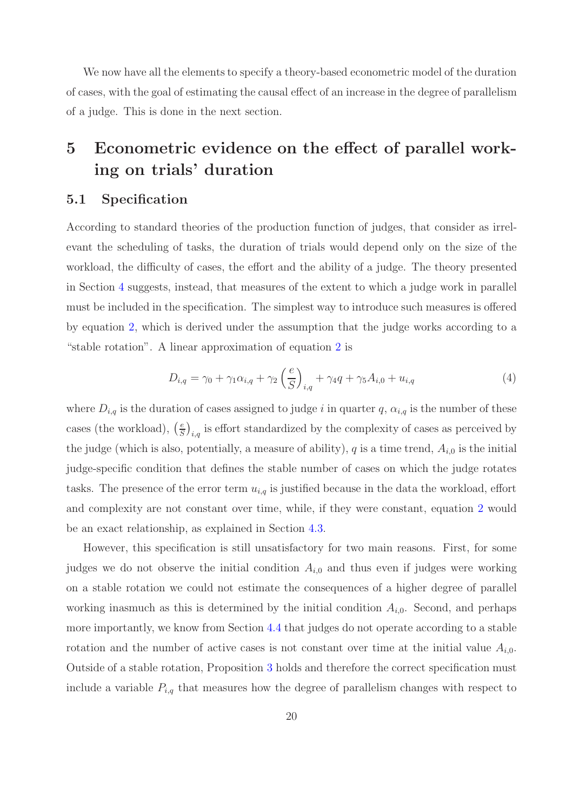We now have all the elements to specify a theory-based econometric model of the duration of cases, with the goal of estimating the causal effect of an increase in the degree of parallelism of a judge. This is done in the next section.

# <span id="page-19-0"></span>**5 Econometric evidence on the effect of parallel working on trials' duration**

### **5.1 Specification**

According to standard theories of the production function of judges, that consider as irrelevant the scheduling of tasks, the duration of trials would depend only on the size of the workload, the difficulty of cases, the effort and the ability of a judge. The theory presented in Section [4](#page-8-0) suggests, instead, that measures of the extent to which a judge work in parallel must be included in the specification. The simplest way to introduce such measures is offered by equation [2,](#page-15-0) which is derived under the assumption that the judge works according to a "stable rotation". A linear approximation of equation [2](#page-15-0) is

$$
D_{i,q} = \gamma_0 + \gamma_1 \alpha_{i,q} + \gamma_2 \left(\frac{e}{S}\right)_{i,q} + \gamma_4 q + \gamma_5 A_{i,0} + u_{i,q}
$$
 (4)

where  $D_{i,q}$  is the duration of cases assigned to judge *i* in quarter q,  $\alpha_{i,q}$  is the number of these cases (the workload),  $\left(\frac{e}{S}\right)$  $\hat{a}_{i,q}$  is effort standardized by the complexity of cases as perceived by the judge (which is also, potentially, a measure of ability),  $q$  is a time trend,  $A_{i,0}$  is the initial judge-specific condition that defines the stable number of cases on which the judge rotates tasks. The presence of the error term  $u_{i,q}$  is justified because in the data the workload, effort and complexity are not constant over time, while, if they were constant, equation [2](#page-15-0) would be an exact relationship, as explained in Section [4.3.](#page-14-2)

However, this specification is still unsatisfactory for two main reasons. First, for some judges we do not observe the initial condition *Ai,*<sup>0</sup> and thus even if judges were working on a stable rotation we could not estimate the consequences of a higher degree of parallel working inasmuch as this is determined by the initial condition  $A_{i,0}$ . Second, and perhaps more importantly, we know from Section [4.4](#page-16-1) that judges do not operate according to a stable rotation and the number of active cases is not constant over time at the initial value  $A_{i,0}$ . Outside of a stable rotation, Proposition [3](#page-18-2) holds and therefore the correct specification must include a variable  $P_{i,q}$  that measures how the degree of parallelism changes with respect to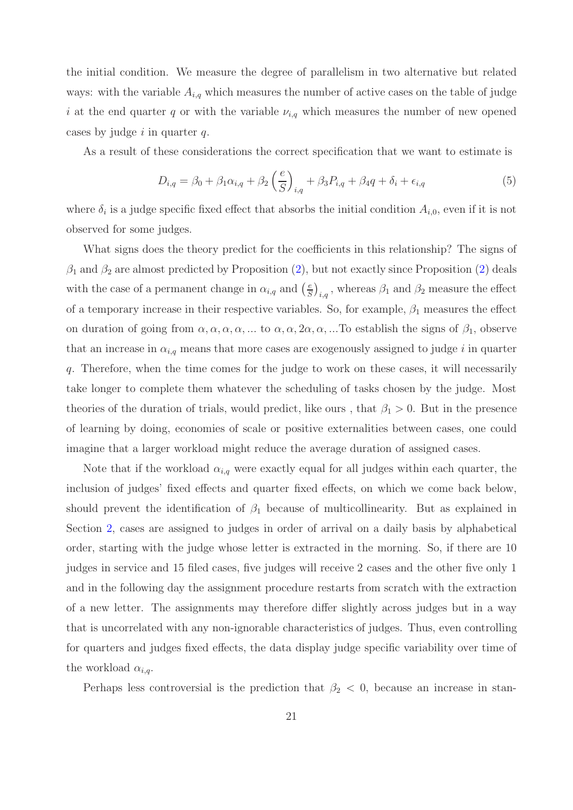the initial condition. We measure the degree of parallelism in two alternative but related ways: with the variable  $A_{i,q}$  which measures the number of active cases on the table of judge *i* at the end quarter *q* or with the variable *νi,q* which measures the number of new opened cases by judge *i* in quarter *q*.

<span id="page-20-0"></span>As a result of these considerations the correct specification that we want to estimate is

$$
D_{i,q} = \beta_0 + \beta_1 \alpha_{i,q} + \beta_2 \left(\frac{e}{S}\right)_{i,q} + \beta_3 P_{i,q} + \beta_4 q + \delta_i + \epsilon_{i,q}
$$
(5)

where  $\delta_i$  is a judge specific fixed effect that absorbs the initial condition  $A_{i,0}$ , even if it is not observed for some judges.

What signs does the theory predict for the coefficients in this relationship? The signs of  $\beta_1$  and  $\beta_2$  are almost predicted by Proposition [\(2\)](#page-16-2), but not exactly since Proposition (2) deals with the case of a permanent change in  $\alpha_{i,q}$  and  $\left(\frac{e}{S}\right)$  $\hat{\theta}_{i,q}$ , whereas  $\beta_1$  and  $\beta_2$  measure the effect of a temporary increase in their respective variables. So, for example,  $\beta_1$  measures the effect on duration of going from  $\alpha, \alpha, \alpha, \alpha, \ldots$  to  $\alpha, \alpha, 2\alpha, \alpha, \ldots$  To establish the signs of  $\beta_1$ , observe that an increase in  $\alpha_{i,q}$  means that more cases are exogenously assigned to judge *i* in quarter *q*. Therefore, when the time comes for the judge to work on these cases, it will necessarily take longer to complete them whatever the scheduling of tasks chosen by the judge. Most theories of the duration of trials, would predict, like ours, that  $\beta_1 > 0$ . But in the presence of learning by doing, economies of scale or positive externalities between cases, one could imagine that a larger workload might reduce the average duration of assigned cases.

Note that if the workload  $\alpha_{i,q}$  were exactly equal for all judges within each quarter, the inclusion of judges' fixed effects and quarter fixed effects, on which we come back below, should prevent the identification of  $\beta_1$  because of multicollinearity. But as explained in Section [2,](#page-2-0) cases are assigned to judges in order of arrival on a daily basis by alphabetical order, starting with the judge whose letter is extracted in the morning. So, if there are 10 judges in service and 15 filed cases, five judges will receive 2 cases and the other five only 1 and in the following day the assignment procedure restarts from scratch with the extraction of a new letter. The assignments may therefore differ slightly across judges but in a way that is uncorrelated with any non-ignorable characteristics of judges. Thus, even controlling for quarters and judges fixed effects, the data display judge specific variability over time of the workload  $\alpha_{i,q}$ .

Perhaps less controversial is the prediction that  $\beta_2$  < 0, because an increase in stan-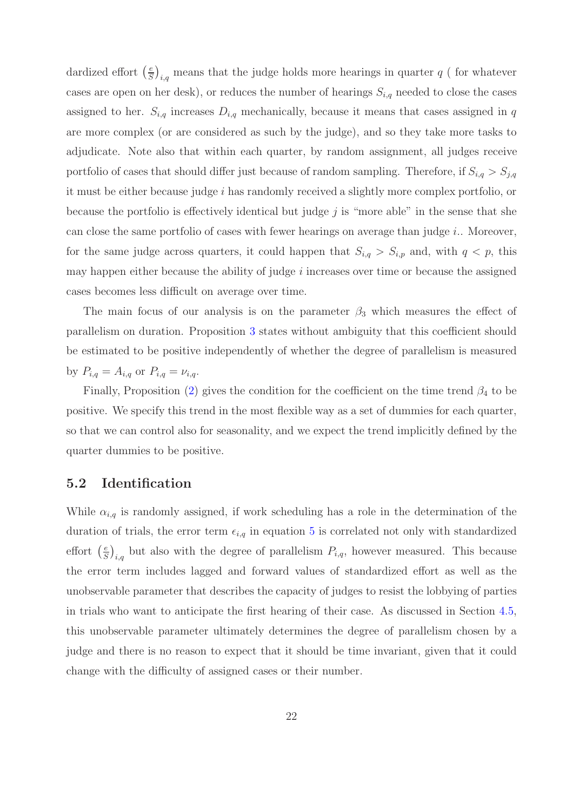dardized effort  $\left(\frac{e}{S}\right)$  $\hat{J}_{i,q}$  means that the judge holds more hearings in quarter  $q$  ( for whatever cases are open on her desk), or reduces the number of hearings  $S_{i,q}$  needed to close the cases assigned to her.  $S_{i,q}$  increases  $D_{i,q}$  mechanically, because it means that cases assigned in *q* are more complex (or are considered as such by the judge), and so they take more tasks to adjudicate. Note also that within each quarter, by random assignment, all judges receive portfolio of cases that should differ just because of random sampling. Therefore, if  $S_{i,q} > S_{j,q}$ it must be either because judge *i* has randomly received a slightly more complex portfolio, or because the portfolio is effectively identical but judge *j* is "more able" in the sense that she can close the same portfolio of cases with fewer hearings on average than judge *i*.. Moreover, for the same judge across quarters, it could happen that  $S_{i,q} > S_{i,p}$  and, with  $q < p$ , this may happen either because the ability of judge *i* increases over time or because the assigned cases becomes less difficult on average over time.

The main focus of our analysis is on the parameter  $\beta_3$  which measures the effect of parallelism on duration. Proposition [3](#page-18-2) states without ambiguity that this coefficient should be estimated to be positive independently of whether the degree of parallelism is measured by  $P_{i,q} = A_{i,q}$  or  $P_{i,q} = \nu_{i,q}$ .

Finally, Proposition [\(2\)](#page-16-2) gives the condition for the coefficient on the time trend *β*<sup>4</sup> to be positive. We specify this trend in the most flexible way as a set of dummies for each quarter, so that we can control also for seasonality, and we expect the trend implicitly defined by the quarter dummies to be positive.

## <span id="page-21-0"></span>**5.2 Identification**

While  $\alpha_{i,q}$  is randomly assigned, if work scheduling has a role in the determination of the duration of trials, the error term  $\epsilon_{i,q}$  in equation [5](#page-20-0) is correlated not only with standardized effort  $\left(\frac{e}{S}\right)$  $\hat{U}_{i,q}$  but also with the degree of parallelism  $P_{i,q}$ , however measured. This because the error term includes lagged and forward values of standardized effort as well as the unobservable parameter that describes the capacity of judges to resist the lobbying of parties in trials who want to anticipate the first hearing of their case. As discussed in Section [4.5,](#page-17-0) this unobservable parameter ultimately determines the degree of parallelism chosen by a judge and there is no reason to expect that it should be time invariant, given that it could change with the difficulty of assigned cases or their number.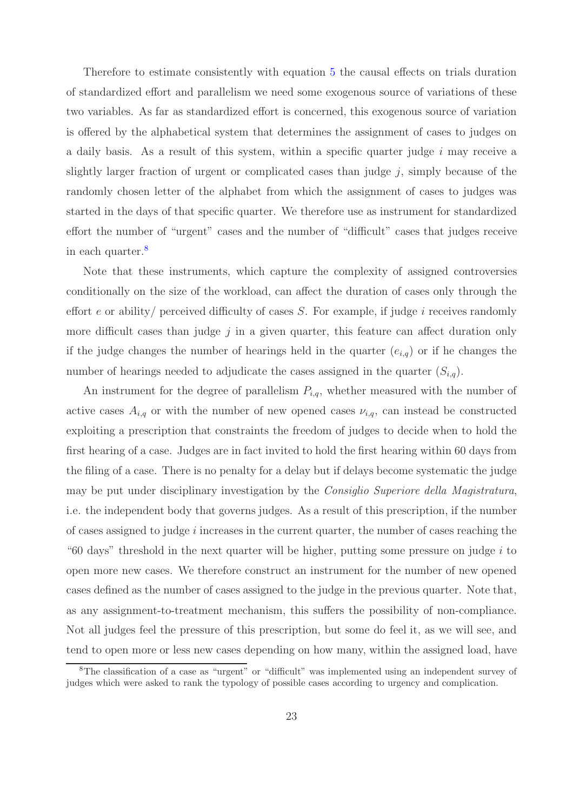Therefore to estimate consistently with equation [5](#page-20-0) the causal effects on trials duration of standardized effort and parallelism we need some exogenous source of variations of these two variables. As far as standardized effort is concerned, this exogenous source of variation is offered by the alphabetical system that determines the assignment of cases to judges on a daily basis. As a result of this system, within a specific quarter judge *i* may receive a slightly larger fraction of urgent or complicated cases than judge *j*, simply because of the randomly chosen letter of the alphabet from which the assignment of cases to judges was started in the days of that specific quarter. We therefore use as instrument for standardized effort the number of "urgent" cases and the number of "difficult" cases that judges receive in each quarter.[8](#page-22-0)

Note that these instruments, which capture the complexity of assigned controversies conditionally on the size of the workload, can affect the duration of cases only through the effort *e* or ability/ perceived difficulty of cases *S*. For example, if judge *i* receives randomly more difficult cases than judge  $j$  in a given quarter, this feature can affect duration only if the judge changes the number of hearings held in the quarter  $(e_{i,q})$  or if he changes the number of hearings needed to adjudicate the cases assigned in the quarter (*Si,q*).

An instrument for the degree of parallelism *Pi,q*, whether measured with the number of active cases  $A_{i,q}$  or with the number of new opened cases  $\nu_{i,q}$ , can instead be constructed exploiting a prescription that constraints the freedom of judges to decide when to hold the first hearing of a case. Judges are in fact invited to hold the first hearing within 60 days from the filing of a case. There is no penalty for a delay but if delays become systematic the judge may be put under disciplinary investigation by the *Consiglio Superiore della Magistratura*, i.e. the independent body that governs judges. As a result of this prescription, if the number of cases assigned to judge *i* increases in the current quarter, the number of cases reaching the "60 days" threshold in the next quarter will be higher, putting some pressure on judge *i* to open more new cases. We therefore construct an instrument for the number of new opened cases defined as the number of cases assigned to the judge in the previous quarter. Note that, as any assignment-to-treatment mechanism, this suffers the possibility of non-compliance. Not all judges feel the pressure of this prescription, but some do feel it, as we will see, and tend to open more or less new cases depending on how many, within the assigned load, have

<span id="page-22-0"></span><sup>&</sup>lt;sup>8</sup>The classification of a case as "urgent" or "difficult" was implemented using an independent survey of judges which were asked to rank the typology of possible cases according to urgency and complication.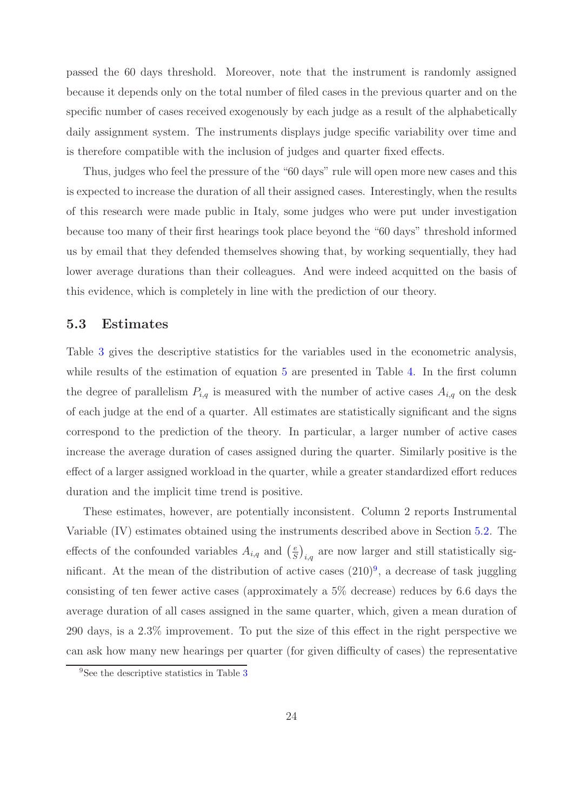passed the 60 days threshold. Moreover, note that the instrument is randomly assigned because it depends only on the total number of filed cases in the previous quarter and on the specific number of cases received exogenously by each judge as a result of the alphabetically daily assignment system. The instruments displays judge specific variability over time and is therefore compatible with the inclusion of judges and quarter fixed effects.

Thus, judges who feel the pressure of the "60 days" rule will open more new cases and this is expected to increase the duration of all their assigned cases. Interestingly, when the results of this research were made public in Italy, some judges who were put under investigation because too many of their first hearings took place beyond the "60 days" threshold informed us by email that they defended themselves showing that, by working sequentially, they had lower average durations than their colleagues. And were indeed acquitted on the basis of this evidence, which is completely in line with the prediction of our theory.

#### **5.3 Estimates**

Table [3](#page-37-0) gives the descriptive statistics for the variables used in the econometric analysis, while results of the estimation of equation [5](#page-20-0) are presented in Table [4.](#page-38-0) In the first column the degree of parallelism  $P_{i,q}$  is measured with the number of active cases  $A_{i,q}$  on the desk of each judge at the end of a quarter. All estimates are statistically significant and the signs correspond to the prediction of the theory. In particular, a larger number of active cases increase the average duration of cases assigned during the quarter. Similarly positive is the effect of a larger assigned workload in the quarter, while a greater standardized effort reduces duration and the implicit time trend is positive.

These estimates, however, are potentially inconsistent. Column 2 reports Instrumental Variable (IV) estimates obtained using the instruments described above in Section [5.2.](#page-21-0) The effects of the confounded variables  $A_{i,q}$  and  $\left(\frac{e}{S}\right)$  $\hat{a}_{i,q}$  are now larger and still statistically significant. At the mean of the distribution of active cases  $(210)^9$  $(210)^9$ , a decrease of task juggling consisting of ten fewer active cases (approximately a 5% decrease) reduces by 6.6 days the average duration of all cases assigned in the same quarter, which, given a mean duration of 290 days, is a 2.3% improvement. To put the size of this effect in the right perspective we can ask how many new hearings per quarter (for given difficulty of cases) the representative

<span id="page-23-0"></span><sup>&</sup>lt;sup>9</sup>See the descriptive statistics in Table [3](#page-37-0)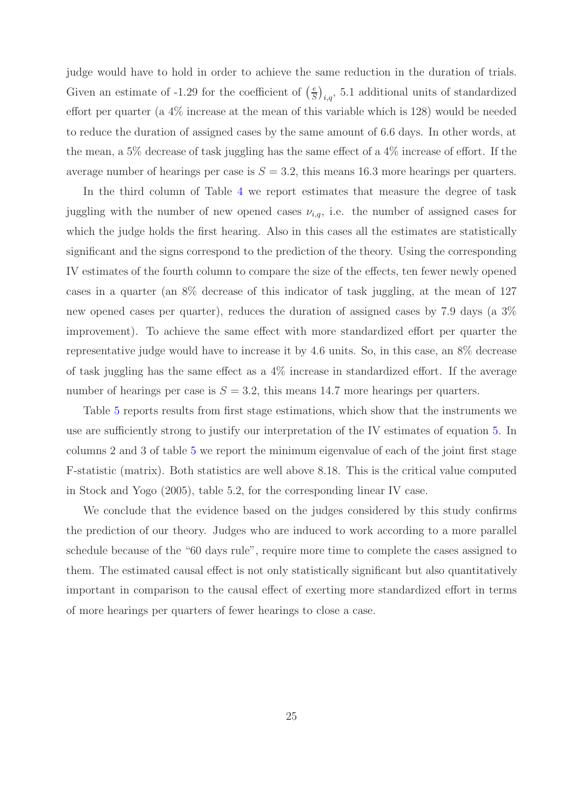judge would have to hold in order to achieve the same reduction in the duration of trials. Given an estimate of -1.29 for the coefficient of  $\left(\frac{e}{S}\right)$  $\hat{a}_{i,q}$ , 5.1 additional units of standardized effort per quarter (a 4% increase at the mean of this variable which is 128) would be needed to reduce the duration of assigned cases by the same amount of 6.6 days. In other words, at the mean, a 5% decrease of task juggling has the same effect of a 4% increase of effort. If the average number of hearings per case is  $S = 3.2$ , this means 16.3 more hearings per quarters.

In the third column of Table [4](#page-38-0) we report estimates that measure the degree of task juggling with the number of new opened cases  $\nu_{i,q}$ , i.e. the number of assigned cases for which the judge holds the first hearing. Also in this cases all the estimates are statistically significant and the signs correspond to the prediction of the theory. Using the corresponding IV estimates of the fourth column to compare the size of the effects, ten fewer newly opened cases in a quarter (an 8% decrease of this indicator of task juggling, at the mean of 127 new opened cases per quarter), reduces the duration of assigned cases by 7.9 days (a 3% improvement). To achieve the same effect with more standardized effort per quarter the representative judge would have to increase it by 4.6 units. So, in this case, an 8% decrease of task juggling has the same effect as a 4% increase in standardized effort. If the average number of hearings per case is  $S = 3.2$ , this means 14.7 more hearings per quarters.

Table [5](#page-39-0) reports results from first stage estimations, which show that the instruments we use are sufficiently strong to justify our interpretation of the IV estimates of equation [5.](#page-20-0) In columns 2 and 3 of table [5](#page-39-0) we report the minimum eigenvalue of each of the joint first stage F-statistic (matrix). Both statistics are well above 8.18. This is the critical value computed in Stock and Yogo (2005), table 5.2, for the corresponding linear IV case.

We conclude that the evidence based on the judges considered by this study confirms the prediction of our theory. Judges who are induced to work according to a more parallel schedule because of the "60 days rule", require more time to complete the cases assigned to them. The estimated causal effect is not only statistically significant but also quantitatively important in comparison to the causal effect of exerting more standardized effort in terms of more hearings per quarters of fewer hearings to close a case.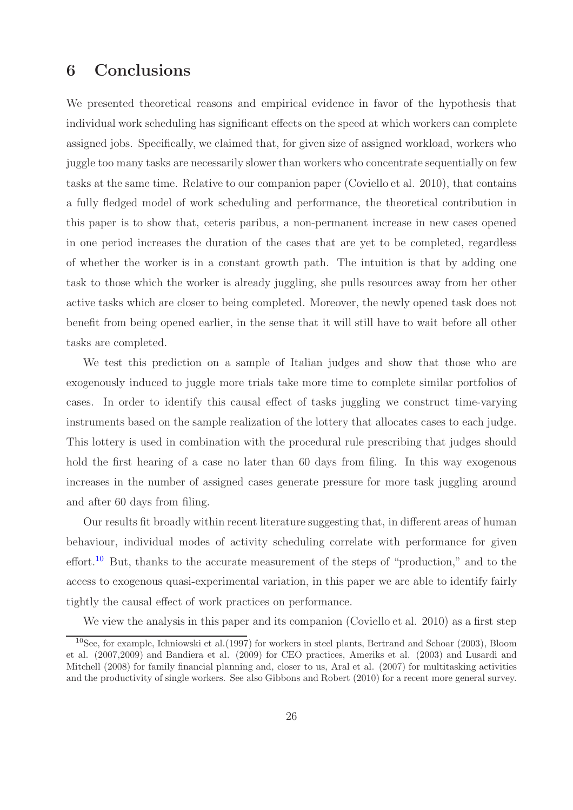# <span id="page-25-0"></span>**6 Conclusions**

We presented theoretical reasons and empirical evidence in favor of the hypothesis that individual work scheduling has significant effects on the speed at which workers can complete assigned jobs. Specifically, we claimed that, for given size of assigned workload, workers who juggle too many tasks are necessarily slower than workers who concentrate sequentially on few tasks at the same time. Relative to our companion paper (Coviello et al. 2010), that contains a fully fledged model of work scheduling and performance, the theoretical contribution in this paper is to show that, ceteris paribus, a non-permanent increase in new cases opened in one period increases the duration of the cases that are yet to be completed, regardless of whether the worker is in a constant growth path. The intuition is that by adding one task to those which the worker is already juggling, she pulls resources away from her other active tasks which are closer to being completed. Moreover, the newly opened task does not benefit from being opened earlier, in the sense that it will still have to wait before all other tasks are completed.

We test this prediction on a sample of Italian judges and show that those who are exogenously induced to juggle more trials take more time to complete similar portfolios of cases. In order to identify this causal effect of tasks juggling we construct time-varying instruments based on the sample realization of the lottery that allocates cases to each judge. This lottery is used in combination with the procedural rule prescribing that judges should hold the first hearing of a case no later than 60 days from filing. In this way exogenous increases in the number of assigned cases generate pressure for more task juggling around and after 60 days from filing.

Our results fit broadly within recent literature suggesting that, in different areas of human behaviour, individual modes of activity scheduling correlate with performance for given effort.<sup>[10](#page-25-1)</sup> But, thanks to the accurate measurement of the steps of "production," and to the access to exogenous quasi-experimental variation, in this paper we are able to identify fairly tightly the causal effect of work practices on performance.

We view the analysis in this paper and its companion (Coviello et al. 2010) as a first step

<span id="page-25-1"></span><sup>10</sup>See, for example, Ichniowski et al.(1997) for workers in steel plants, Bertrand and Schoar (2003), Bloom et al. (2007,2009) and Bandiera et al. (2009) for CEO practices, Ameriks et al. (2003) and Lusardi and Mitchell (2008) for family financial planning and, closer to us, Aral et al. (2007) for multitasking activities and the productivity of single workers. See also Gibbons and Robert (2010) for a recent more general survey.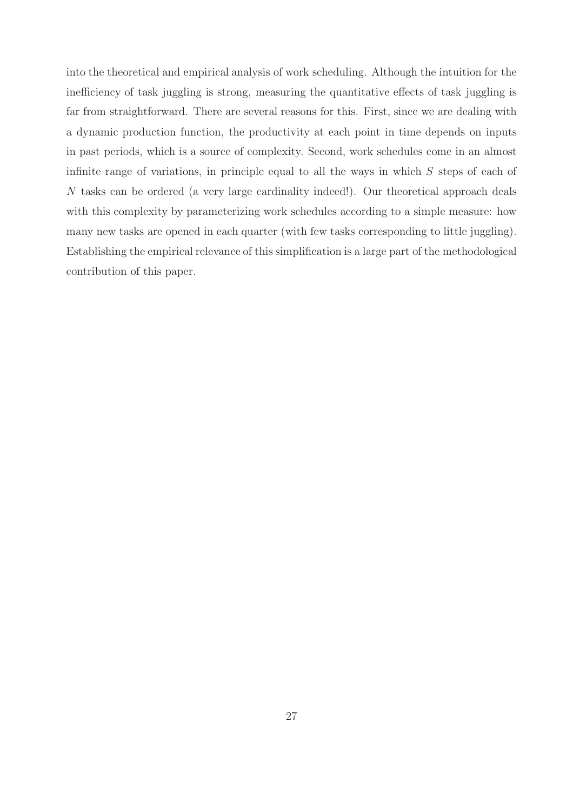into the theoretical and empirical analysis of work scheduling. Although the intuition for the inefficiency of task juggling is strong, measuring the quantitative effects of task juggling is far from straightforward. There are several reasons for this. First, since we are dealing with a dynamic production function, the productivity at each point in time depends on inputs in past periods, which is a source of complexity. Second, work schedules come in an almost infinite range of variations, in principle equal to all the ways in which *S* steps of each of *N* tasks can be ordered (a very large cardinality indeed!). Our theoretical approach deals with this complexity by parameterizing work schedules according to a simple measure: how many new tasks are opened in each quarter (with few tasks corresponding to little juggling). Establishing the empirical relevance of this simplification is a large part of the methodological contribution of this paper.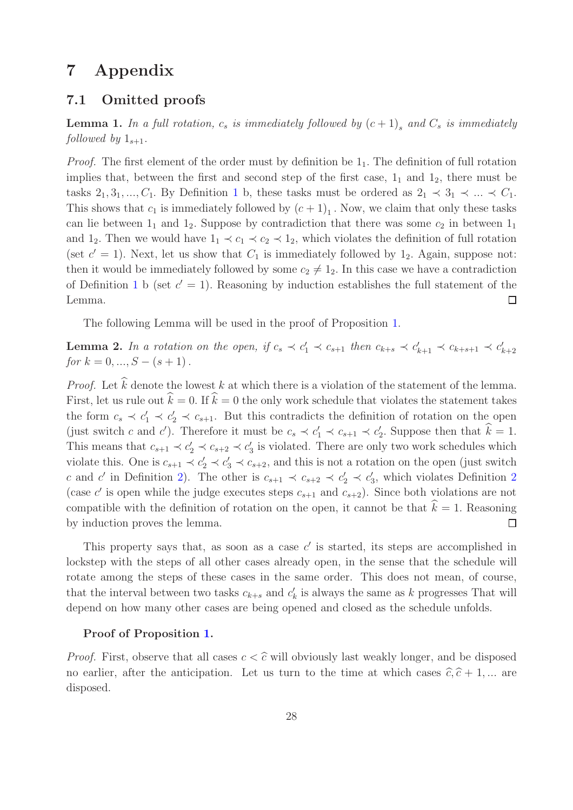# <span id="page-27-0"></span>**7 Appendix**

## <span id="page-27-1"></span>**7.1 Omitted proofs**

**Lemma 1.** In a full rotation,  $c_s$  is immediately followed by  $(c+1)$ <sup>s</sup> and  $C_s$  is immediately *followed by*  $1_{s+1}$ .

*Proof.* The first element of the order must by definition be  $1<sub>1</sub>$ . The definition of full rotation implies that, between the first and second step of the first case,  $1<sub>1</sub>$  and  $1<sub>2</sub>$ , there must be tasks  $2_1, 3_1, \ldots, C_1$  $2_1, 3_1, \ldots, C_1$  $2_1, 3_1, \ldots, C_1$ . By Definition 1 b, these tasks must be ordered as  $2_1 \prec 3_1 \prec \ldots \prec C_1$ . This shows that  $c_1$  is immediately followed by  $(c+1)_1$ . Now, we claim that only these tasks can lie between  $1_1$  and  $1_2$ . Suppose by contradiction that there was some  $c_2$  in between  $1_1$ and 1<sub>2</sub>. Then we would have  $1_1 \prec c_1 \prec c_2 \prec 1_2$ , which violates the definition of full rotation (set  $c' = 1$ ). Next, let us show that  $C_1$  is immediately followed by 1<sub>2</sub>. Again, suppose not: then it would be immediately followed by some  $c_2 \neq 1_2$ . In this case we have a contradiction of Definition [1](#page-9-1) b (set  $c' = 1$ ). Reasoning by induction establishes the full statement of the Lemma.  $\Box$ 

The following Lemma will be used in the proof of Proposition [1.](#page-13-0)

<span id="page-27-2"></span>**Lemma 2.** In a rotation on the open, if  $c_s \prec c_1' \prec c_{s+1}$  then  $c_{k+s} \prec c_{k+1}' \prec c_{k+s+1} \prec c_{k+2}'$ *for*  $k = 0, ..., S - (s + 1)$ .

*Proof.* Let  $\hat{k}$  denote the lowest *k* at which there is a violation of the statement of the lemma. First, let us rule out  $\hat{k} = 0$ . If  $\hat{k} = 0$  the only work schedule that violates the statement takes the form  $c_s \prec c_1' \prec c_2' \prec c_{s+1}$ . But this contradicts the definition of rotation on the open (just switch *c* and *c*<sup> $\prime$ </sup>). Therefore it must be  $c_s \prec c_1' \prec c_{s+1} \prec c_2'$ . Suppose then that  $\hat{k} = 1$ . This means that  $c_{s+1} \prec c_2' \prec c_{s+2} \prec c_3'$  is violated. There are only two work schedules which violate this. One is  $c_{s+1} \prec c'_1 \prec c'_3 \prec c_{s+2}$ , and this is not a rotation on the open (just switch *c* and *c*<sup> $\prime$ </sup> in Definition [2\)](#page-10-0). The other is  $c_{s+1} \prec c_{s+2} \prec c_2' \prec c_3'$  $c_{s+1} \prec c_{s+2} \prec c_2' \prec c_3'$  $c_{s+1} \prec c_{s+2} \prec c_2' \prec c_3'$ , which violates Definition 2 (case *c'* is open while the judge executes steps  $c_{s+1}$  and  $c_{s+2}$ ). Since both violations are not compatible with the definition of rotation on the open, it cannot be that  $\hat{k} = 1$ . Reasoning by induction proves the lemma.  $\Box$ 

This property says that, as soon as a case  $c<sup>'</sup>$  is started, its steps are accomplished in lockstep with the steps of all other cases already open, in the sense that the schedule will rotate among the steps of these cases in the same order. This does not mean, of course, that the interval between two tasks  $c_{k+s}$  and  $c'_{k}$  is always the same as  $k$  progresses That will depend on how many other cases are being opened and closed as the schedule unfolds.

#### **Proof of Proposition [1.](#page-13-0)**

*Proof.* First, observe that all cases  $c < \hat{c}$  will obviously last weakly longer, and be disposed no earlier, after the anticipation. Let us turn to the time at which cases  $\hat{c}, \hat{c} + 1, \dots$  are disposed.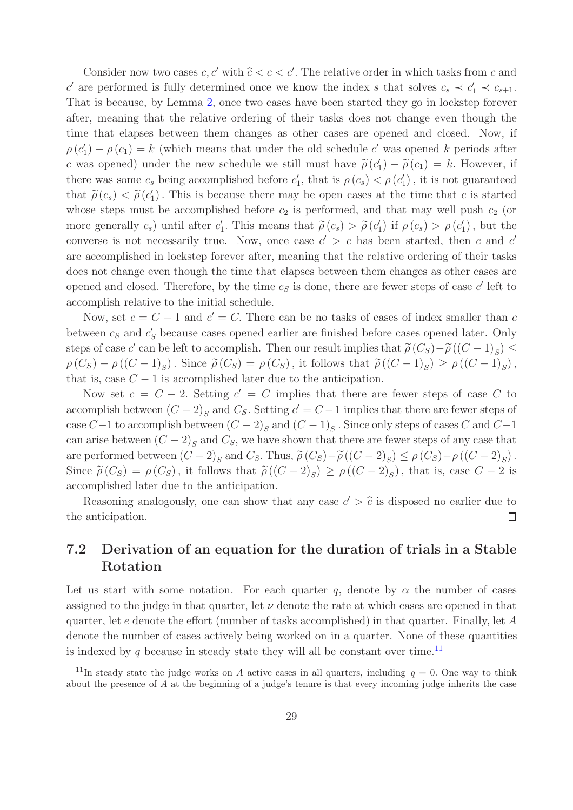Consider now two cases  $c, c'$  with  $\hat{c} < c < c'$ . The relative order in which tasks from  $c$  and *c*<sup> $\prime$ </sup> are performed is fully determined once we know the index *s* that solves  $c_s \prec c_1' \prec c_{s+1}$ . That is because, by Lemma [2,](#page-27-2) once two cases have been started they go in lockstep forever after, meaning that the relative ordering of their tasks does not change even though the time that elapses between them changes as other cases are opened and closed. Now, if  $\rho(c_1') - \rho(c_1) = k$  (which means that under the old schedule *c*' was opened *k* periods after *c* was opened) under the new schedule we still must have  $\tilde{\rho}(c'_1) - \tilde{\rho}(c_1) = k$ . However, if there was some  $c_s$  being accomplished before  $c'_1$ , that is  $\rho(c_s) < \rho(c'_1)$ , it is not guaranteed that  $\tilde{\rho}(c_s) < \tilde{\rho}(c'_1)$ . This is because there may be open cases at the time that *c* is started whose steps must be accomplished before  $c_2$  is performed, and that may well push  $c_2$  (or more generally  $c_s$ ) until after  $c'_1$ . This means that  $\tilde{\rho}(c_s) > \tilde{\rho}(c'_1)$  if  $\rho(c_s) > \rho(c'_1)$ , but the converse is not necessarily true. Now, once case  $c' > c$  has been started, then c and  $c'$ are accomplished in lockstep forever after, meaning that the relative ordering of their tasks does not change even though the time that elapses between them changes as other cases are opened and closed. Therefore, by the time  $c<sub>S</sub>$  is done, there are fewer steps of case  $c'$  left to accomplish relative to the initial schedule.

Now, set  $c = C - 1$  and  $c' = C$ . There can be no tasks of cases of index smaller than c between  $c_s$  and  $c'_s$  because cases opened earlier are finished before cases opened later. Only steps of case *c'* can be left to accomplish. Then our result implies that  $\tilde{\rho}(C_S) - \tilde{\rho}((C-1)_S) \leq$  $\rho(C_S) - \rho((C-1)_S)$ . Since  $\tilde{\rho}(C_S) = \rho(C_S)$ , it follows that  $\tilde{\rho}((C-1)_S) \ge \rho((C-1)_S)$ , that is, case  $C - 1$  is accomplished later due to the anticipation.

Now set  $c = C - 2$ . Setting  $c' = C$  implies that there are fewer steps of case C to accomplish between  $(C-2)_S$  and  $C_S$ . Setting  $c' = C-1$  implies that there are fewer steps of case  $C-1$  to accomplish between  $(C-2)_S$  and  $(C-1)_S$ . Since only steps of cases  $C$  and  $C-1$ can arise between  $(C-2)_S$  and  $C_S$ , we have shown that there are fewer steps of any case that are performed between  $(C-2)_S$  and  $C_S$ . Thus,  $\tilde{\rho}(C_S) - \tilde{\rho}((C-2)_S) \leq \rho(C_S) - \rho((C-2)_S)$ . Since  $\tilde{\rho}(C_S) = \rho(C_S)$ , it follows that  $\tilde{\rho}((C-2)_S) \ge \rho((C-2)_S)$ , that is, case  $C-2$  is accomplished later due to the anticipation.

Reasoning analogously, one can show that any case  $c' > \hat{c}$  is disposed no earlier due to the anticipation.  $\Box$ 

## <span id="page-28-0"></span>**7.2 Derivation of an equation for the duration of trials in a Stable Rotation**

Let us start with some notation. For each quarter q, denote by  $\alpha$  the number of cases assigned to the judge in that quarter, let  $\nu$  denote the rate at which cases are opened in that quarter, let *e* denote the effort (number of tasks accomplished) in that quarter. Finally, let *A* denote the number of cases actively being worked on in a quarter. None of these quantities is indexed by  $q$  because in steady state they will all be constant over time.<sup>[11](#page-28-1)</sup>

<span id="page-28-1"></span><sup>&</sup>lt;sup>11</sup>In steady state the judge works on *A* active cases in all quarters, including  $q = 0$ . One way to think about the presence of *A* at the beginning of a judge's tenure is that every incoming judge inherits the case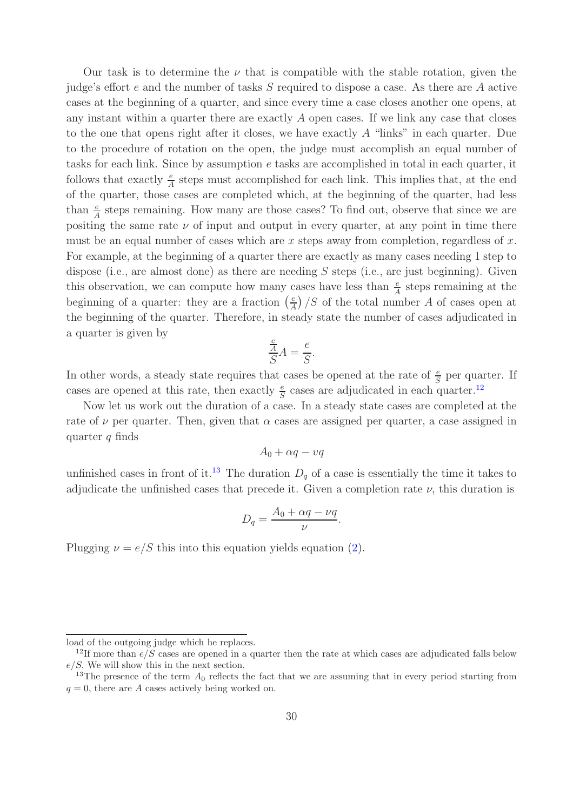Our task is to determine the  $\nu$  that is compatible with the stable rotation, given the judge's effort *e* and the number of tasks *S* required to dispose a case. As there are *A* active cases at the beginning of a quarter, and since every time a case closes another one opens, at any instant within a quarter there are exactly *A* open cases. If we link any case that closes to the one that opens right after it closes, we have exactly *A* "links" in each quarter. Due to the procedure of rotation on the open, the judge must accomplish an equal number of tasks for each link. Since by assumption *e* tasks are accomplished in total in each quarter, it follows that exactly  $\frac{e}{A}$  steps must accomplished for each link. This implies that, at the end of the quarter, those cases are completed which, at the beginning of the quarter, had less than  $\frac{e}{A}$  steps remaining. How many are those cases? To find out, observe that since we are positing the same rate  $\nu$  of input and output in every quarter, at any point in time there must be an equal number of cases which are *x* steps away from completion, regardless of *x.* For example, at the beginning of a quarter there are exactly as many cases needing 1 step to dispose (i.e., are almost done) as there are needing *S* steps (i.e., are just beginning). Given this observation, we can compute how many cases have less than  $\frac{e}{A}$  steps remaining at the beginning of a quarter: they are a fraction  $\left(\frac{e}{A}\right)$  */S* of the total number *A* of cases open at the beginning of the quarter. Therefore, in steady state the number of cases adjudicated in a quarter is given by

$$
\frac{\frac{e}{A}}{S}A = \frac{e}{S}.
$$

In other words, a steady state requires that cases be opened at the rate of  $\frac{e}{S}$  per quarter. If cases are opened at this rate, then exactly  $\frac{e}{S}$  cases are adjudicated in each quarter.<sup>[12](#page-29-1)</sup>

Now let us work out the duration of a case. In a steady state cases are completed at the rate of  $\nu$  per quarter. Then, given that  $\alpha$  cases are assigned per quarter, a case assigned in quarter *q* finds

$$
A_0+\alpha q-vq
$$

unfinished cases in front of it.<sup>[13](#page-29-0)</sup> The duration  $D_q$  of a case is essentially the time it takes to adjudicate the unfinished cases that precede it. Given a completion rate  $\nu$ , this duration is

$$
D_q = \frac{A_0 + \alpha q - \nu q}{\nu}.
$$

Plugging  $\nu = e/S$  this into this equation yields equation [\(2\)](#page-15-0).

load of the outgoing judge which he replaces.

<span id="page-29-1"></span><sup>&</sup>lt;sup>12</sup>If more than  $e/S$  cases are opened in a quarter then the rate at which cases are adjudicated falls below *e/S.* We will show this in the next section.

<span id="page-29-0"></span><sup>&</sup>lt;sup>13</sup>The presence of the term  $A_0$  reflects the fact that we are assuming that in every period starting from  $q = 0$ , there are *A* cases actively being worked on.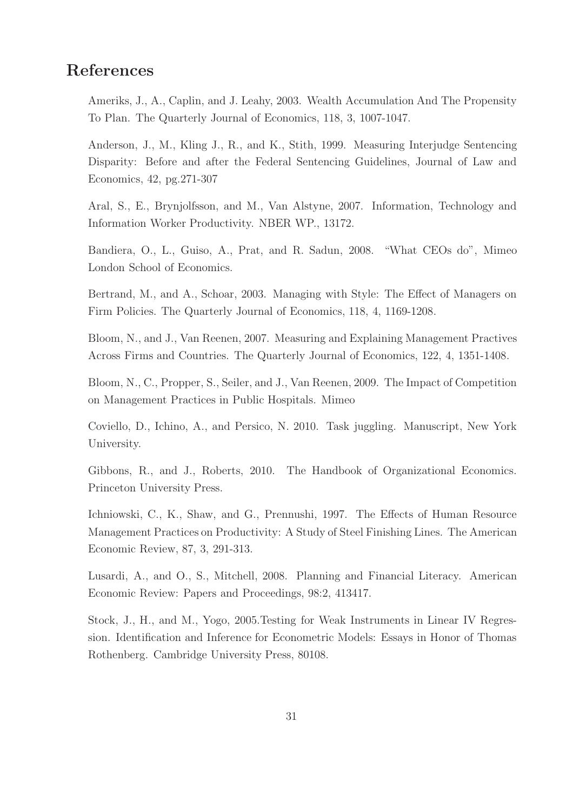# **References**

Ameriks, J., A., Caplin, and J. Leahy, 2003. Wealth Accumulation And The Propensity To Plan. The Quarterly Journal of Economics, 118, 3, 1007-1047.

Anderson, J., M., Kling J., R., and K., Stith, 1999. Measuring Interjudge Sentencing Disparity: Before and after the Federal Sentencing Guidelines, Journal of Law and Economics, 42, pg.271-307

Aral, S., E., Brynjolfsson, and M., Van Alstyne, 2007. Information, Technology and Information Worker Productivity. NBER WP., 13172.

Bandiera, O., L., Guiso, A., Prat, and R. Sadun, 2008. "What CEOs do", Mimeo London School of Economics.

Bertrand, M., and A., Schoar, 2003. Managing with Style: The Effect of Managers on Firm Policies. The Quarterly Journal of Economics, 118, 4, 1169-1208.

Bloom, N., and J., Van Reenen, 2007. Measuring and Explaining Management Practives Across Firms and Countries. The Quarterly Journal of Economics, 122, 4, 1351-1408.

Bloom, N., C., Propper, S., Seiler, and J., Van Reenen, 2009. The Impact of Competition on Management Practices in Public Hospitals. Mimeo

Coviello, D., Ichino, A., and Persico, N. 2010. Task juggling. Manuscript, New York University.

Gibbons, R., and J., Roberts, 2010. The Handbook of Organizational Economics. Princeton University Press.

Ichniowski, C., K., Shaw, and G., Prennushi, 1997. The Effects of Human Resource Management Practices on Productivity: A Study of Steel Finishing Lines. The American Economic Review, 87, 3, 291-313.

Lusardi, A., and O., S., Mitchell, 2008. Planning and Financial Literacy. American Economic Review: Papers and Proceedings, 98:2, 413417.

Stock, J., H., and M., Yogo, 2005.Testing for Weak Instruments in Linear IV Regression. Identification and Inference for Econometric Models: Essays in Honor of Thomas Rothenberg. Cambridge University Press, 80108.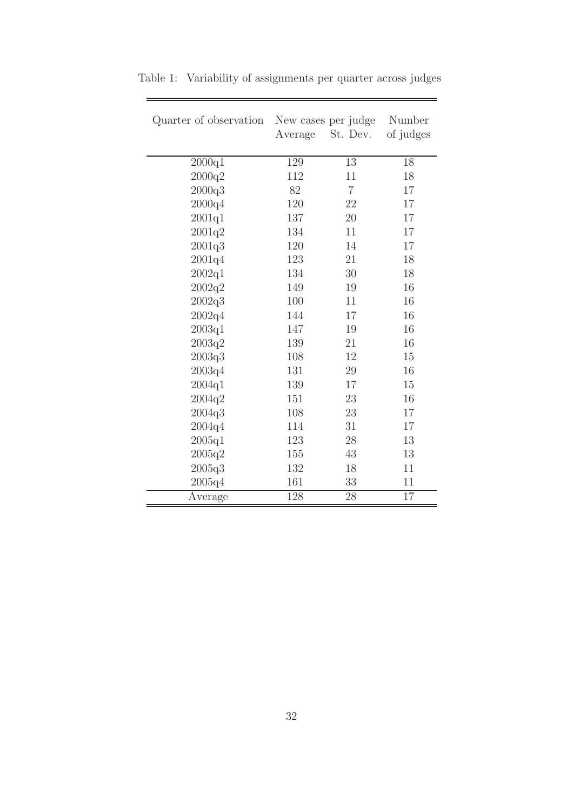| Quarter of observation | New cases per judge | Number         |           |
|------------------------|---------------------|----------------|-----------|
|                        | Average             | St. Dev.       | of judges |
| 2000q1                 | 129                 | 13             | 18        |
| 2000q2                 | 112                 | 11             | 18        |
| 2000q3                 | 82                  | $\overline{7}$ | 17        |
| 2000q4                 | 120                 | 22             | 17        |
| 2001q1                 | 137                 | 20             | 17        |
| 2001q2                 | 134                 | 11             | 17        |
| 2001q3                 | 120                 | 14             | 17        |
| 2001q4                 | 123                 | 21             | 18        |
| 2002q1                 | 134                 | 30             | 18        |
| 2002q2                 | 149                 | 19             | 16        |
| 2002q3                 | 100                 | 11             | 16        |
| 2002q4                 | 144                 | 17             | 16        |
| 2003q1                 | 147                 | 19             | 16        |
| 2003q2                 | 139                 | 21             | 16        |
| 2003q3                 | 108                 | 12             | 15        |
| 2003q4                 | 131                 | 29             | 16        |
| 2004q1                 | 139                 | 17             | 15        |
| 2004q2                 | 151                 | 23             | 16        |
| 2004q3                 | 108                 | 23             | 17        |
| 2004q4                 | 114                 | 31             | 17        |
| 2005q1                 | 123                 | 28             | 13        |
| 2005q2                 | 155                 | 43             | 13        |
| 2005q3                 | 132                 | 18             | 11        |
| 2005q4                 | 161                 | 33             | 11        |
| Average                | 128                 | 28             | 17        |

<span id="page-31-0"></span>Table 1: Variability of assignments per quarter across judges

-

 $\overline{a}$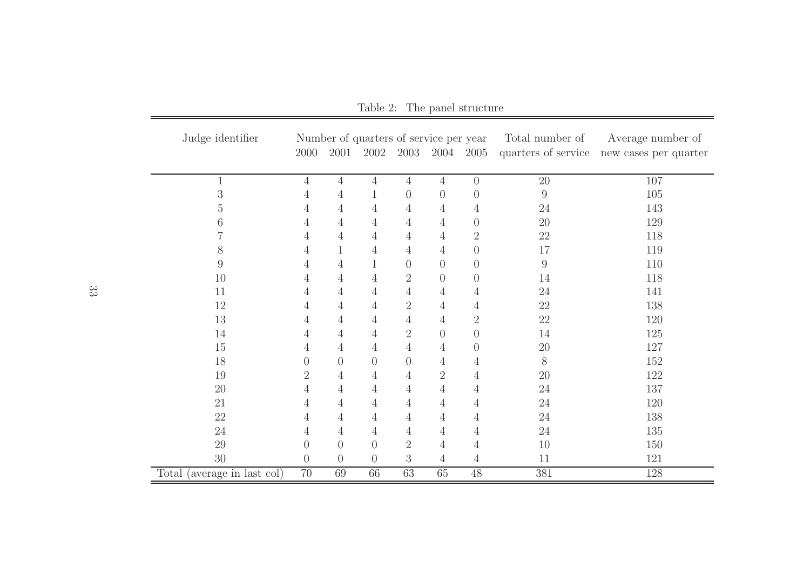| Judge identifier            | Number of quarters of service per year |                |                |                  | Total number of | Average number of |                 |                                           |
|-----------------------------|----------------------------------------|----------------|----------------|------------------|-----------------|-------------------|-----------------|-------------------------------------------|
|                             | 2000                                   | 2001           | 2002           | 2003             | 2004            | 2005              |                 | quarters of service new cases per quarter |
|                             |                                        |                |                |                  |                 |                   |                 |                                           |
|                             | $\overline{4}$                         | $\overline{4}$ | $\overline{4}$ | $\overline{4}$   | $\overline{4}$  | $\overline{0}$    | $\overline{20}$ | 107                                       |
| 3                           | 4                                      | 4              |                | $\boldsymbol{0}$ | $\theta$        | $\theta$          | $\overline{9}$  | 105                                       |
| 5                           | 4                                      | 4              | $\overline{4}$ | 4                | 4               | 4                 | 24              | 143                                       |
| 6                           | 4                                      | 4              | $\overline{4}$ | 4                | $\overline{4}$  | $\theta$          | 20              | 129                                       |
|                             | 4                                      | 4              | $\overline{4}$ | 4                | 4               | $\overline{2}$    | 22              | 118                                       |
| 8                           | 4                                      | 1              | $\overline{4}$ | $\overline{4}$   | $\overline{4}$  | $\overline{0}$    | 17              | 119                                       |
| 9                           | 4                                      | $\overline{4}$ | $\mathbf{1}$   | $\overline{0}$   | $\theta$        | $\overline{0}$    | $\overline{9}$  | 110                                       |
| 10                          | 4                                      | $\overline{4}$ | 4              | $\overline{2}$   | $\theta$        | $\overline{0}$    | 14              | 118                                       |
| 11                          | 4                                      | 4              | 4              | 4                | 4               | 4                 | 24              | 141                                       |
| 12                          | 4                                      | 4              | 4              | $\overline{2}$   | 4               | 4                 | 22              | 138                                       |
| 13                          | 4                                      | 4              | $\overline{4}$ | $\overline{4}$   | $\overline{4}$  | $\overline{2}$    | 22              | 120                                       |
| 14                          | 4                                      | 4              | $\overline{4}$ | $\overline{2}$   | $\theta$        | $\overline{0}$    | 14              | 125                                       |
| $15\,$                      | 4                                      | 4              | $\overline{4}$ | $\overline{4}$   | 4               | $\overline{0}$    | 20              | 127                                       |
| 18                          | $\left( \right)$                       | $\overline{0}$ | $\overline{0}$ | $\boldsymbol{0}$ | $\overline{4}$  | 4                 | $8\,$           | 152                                       |
| 19                          | 2                                      | 4              | $\overline{4}$ | 4                | $\overline{2}$  | 4                 | 20              | 122                                       |
| 20                          | 4                                      | 4              | $\overline{4}$ | 4                | $\overline{4}$  | 4                 | 24              | 137                                       |
| 21                          | 4                                      | 4              | $\overline{4}$ | $\overline{4}$   | $\overline{4}$  | 4                 | 24              | 120                                       |
| $22\,$                      | 4                                      | 4              | $\overline{4}$ | $\overline{4}$   | $\overline{4}$  | 4                 | $24\,$          | 138                                       |
| $24\,$                      | 4                                      | 4              | $\overline{4}$ | 4                | $\overline{4}$  | 4                 | 24              | 135                                       |
| 29                          | $\overline{0}$                         | $\overline{0}$ | $\theta$       | $\overline{2}$   | $\overline{4}$  | 4                 | 10              | 150                                       |
| $30\,$                      | $\theta$                               | $\theta$       | $\theta$       | $\mathfrak{Z}$   | $\overline{4}$  | 4                 | 11              | 121                                       |
| Total (average in last col) | $70\,$                                 | 69             | 66             | 63               | 65              | $48\,$            | 381             | 128                                       |

<span id="page-32-0"></span>Table 2: The panel structure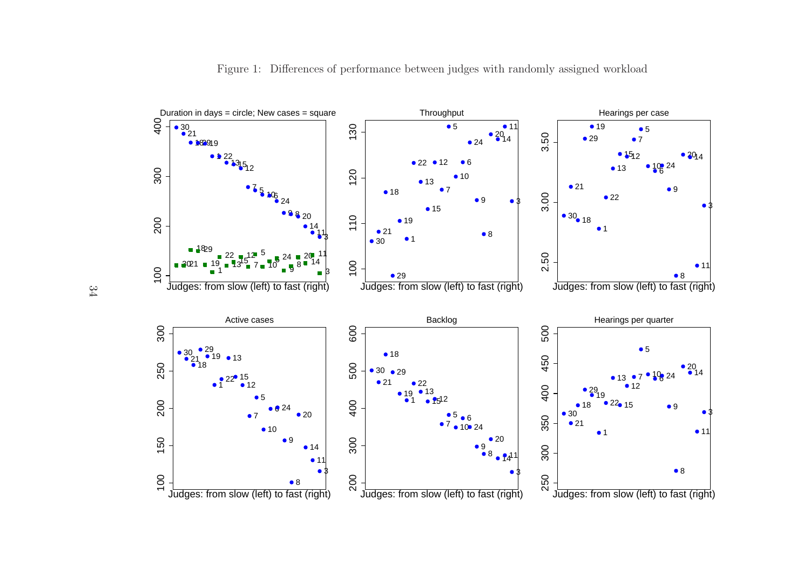

<span id="page-33-0"></span>Figure 1: Differences of performance bet ween judges with randomly assigned workload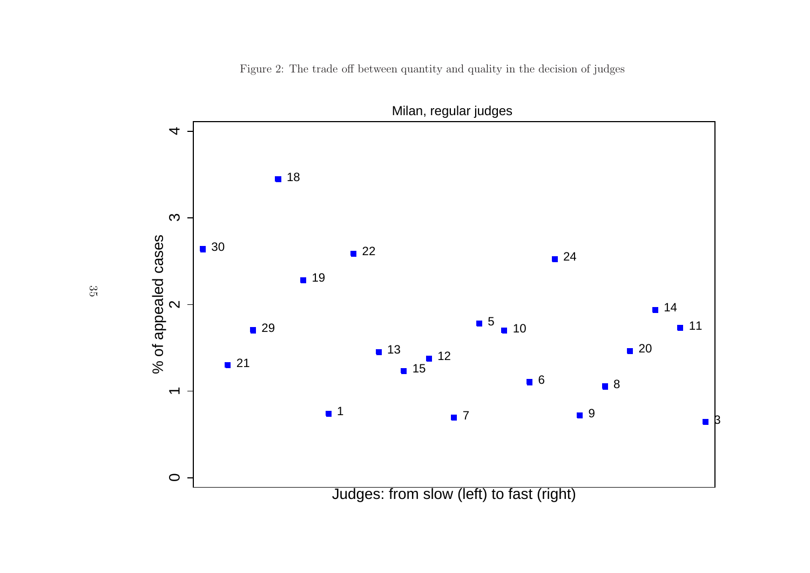<span id="page-34-0"></span>Figure 2: The trade off between quantity and quality in the decision of judges

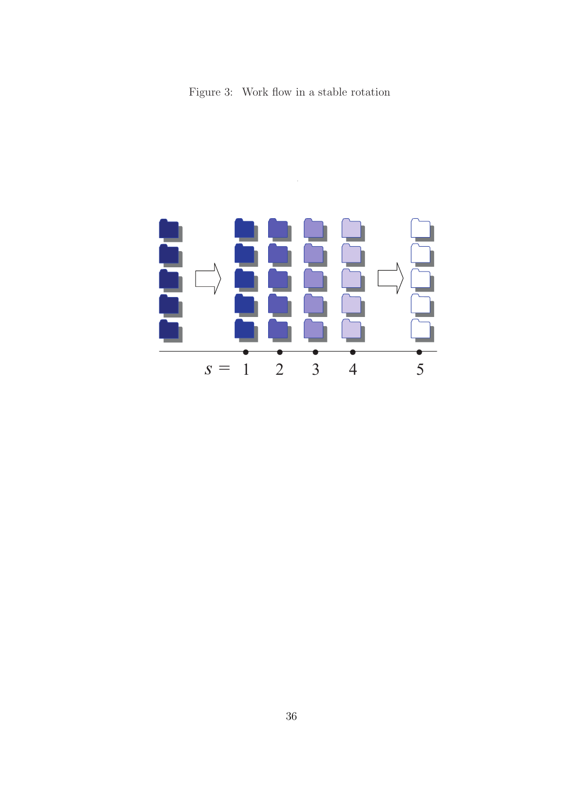<span id="page-35-0"></span>Figure 3: Work flow in a stable rotation



 $\ddot{\phantom{0}}$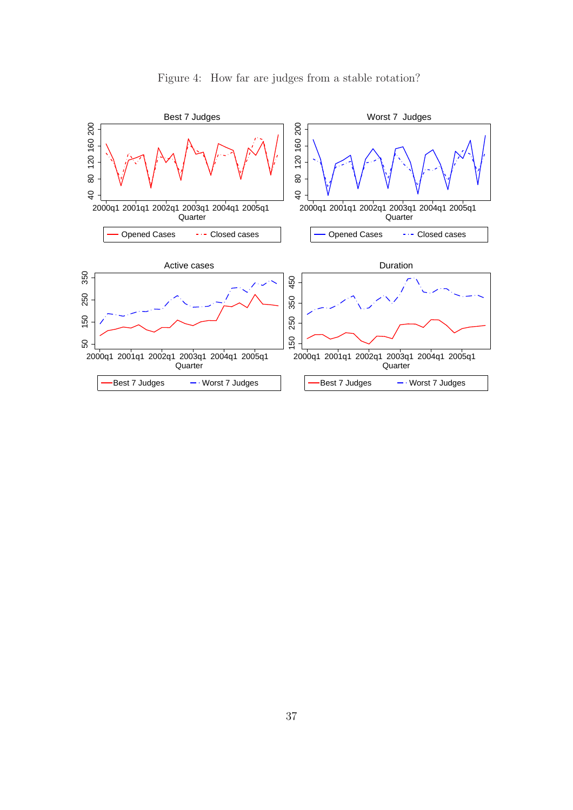

<span id="page-36-0"></span>Figure 4: How far are judges from a stable rotation?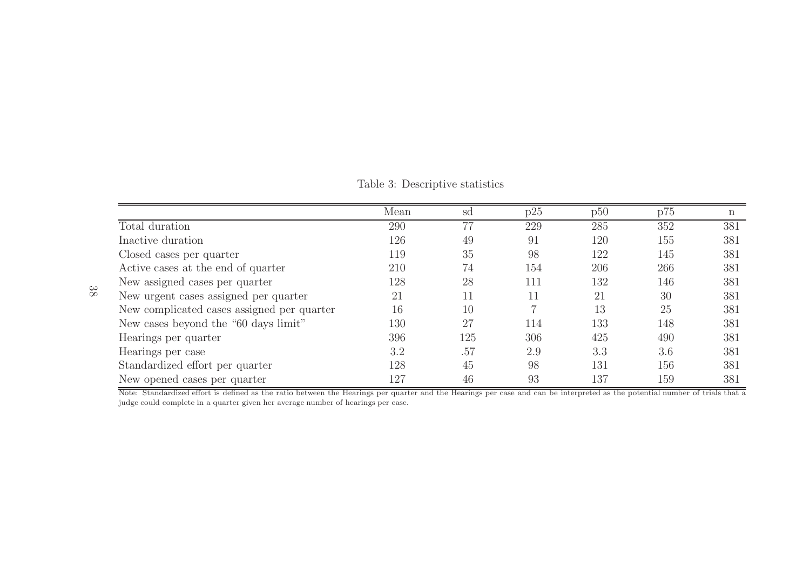<span id="page-37-0"></span>Table 3: Descriptive statistics

| Mean | sd  | p25 | p50 | p75 | n   |
|------|-----|-----|-----|-----|-----|
| 290  |     | 229 | 285 | 352 | 381 |
| 126  | 49  | 91  | 120 | 155 | 381 |
| 119  | 35  | 98  | 122 | 145 | 381 |
| 210  | 74  | 154 | 206 | 266 | 381 |
| 128  | 28  | 111 | 132 | 146 | 381 |
| 21   | 11  | 11  | 21  | 30  | 381 |
| 16   | 10  |     | 13  | 25  | 381 |
| 130  | 27  | 114 | 133 | 148 | 381 |
| 396  | 125 | 306 | 425 | 490 | 381 |
| 3.2  | .57 | 2.9 | 3.3 | 3.6 | 381 |
| 128  | 45  | 98  | 131 | 156 | 381 |
| 127  | 46  | 93  | 137 | 159 | 381 |
|      |     |     |     |     |     |

Note: Standardized effort is defined as the ratio between the Hearings per quarter and the Hearings per case and can be interpreted as the potential number of trials that <sup>a</sup> judge could complete in <sup>a</sup> quarter given her average number of hearings per case.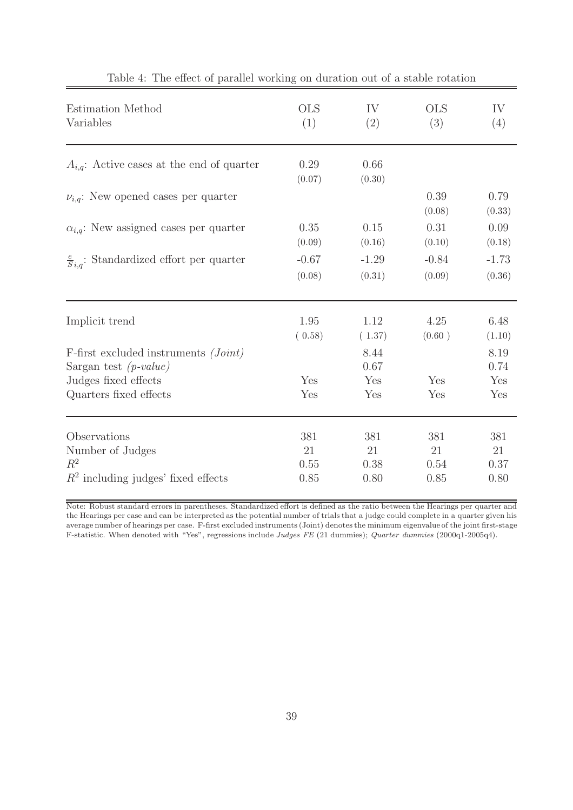<span id="page-38-0"></span>

| Estimation Method                                                 | <b>OLS</b>     | IV             | <b>OLS</b>     | IV             |
|-------------------------------------------------------------------|----------------|----------------|----------------|----------------|
| Variables                                                         | (1)            | (2)            | (3)            | (4)            |
| $A_{i,q}$ : Active cases at the end of quarter                    | 0.29<br>(0.07) | 0.66<br>(0.30) |                |                |
| $\nu_{i,q}$ : New opened cases per quarter                        |                |                | 0.39<br>(0.08) | 0.79<br>(0.33) |
| $\alpha_{i,q}$ : New assigned cases per quarter                   | 0.35           | 0.15           | 0.31           | 0.09           |
|                                                                   | (0.09)         | (0.16)         | (0.10)         | (0.18)         |
| $\frac{e}{S_{i,q}}$ : Standardized effort per quarter             | $-0.67$        | $-1.29$        | $-0.84$        | $-1.73$        |
|                                                                   | (0.08)         | (0.31)         | (0.09)         | (0.36)         |
| Implicit trend                                                    | 1.95           | 1.12           | 4.25           | 6.48           |
|                                                                   | (0.58)         | (1.37)         | (0.60)         | (1.10)         |
| F-first excluded instruments (Joint)<br>Sargan test $(p-value)$   |                | 8.44<br>0.67   |                | 8.19<br>0.74   |
| Judges fixed effects                                              | Yes            | Yes            | Yes            | Yes            |
| Quarters fixed effects                                            | Yes            | Yes            | Yes            | Yes            |
| Observations                                                      | 381            | 381            | 381            | 381            |
|                                                                   | 21             | 21             | 21             | 21             |
| Number of Judges<br>$R^2$<br>$R2$ including judges' fixed effects | 0.55<br>0.85   | 0.38<br>0.80   | 0.54<br>0.85   | 0.37<br>0.80   |

|  |  |  | Table 4: The effect of parallel working on duration out of a stable rotation |  |  |  |  |
|--|--|--|------------------------------------------------------------------------------|--|--|--|--|
|--|--|--|------------------------------------------------------------------------------|--|--|--|--|

Note: Robust standard errors in parentheses. Standardized effort is defined as the ratio between the Hearings per quarter and the Hearings per case and can be interpreted as the potential number of trials that a judge could complete in a quarter given his average number of hearings per case. F-first excluded instruments (Joint) denotes the minimum eigenvalue of the joint first-stage F-statistic. When denoted with "Yes", regressions include Judges FE (21 dummies); Quarter dummies (2000q1-2005q4).